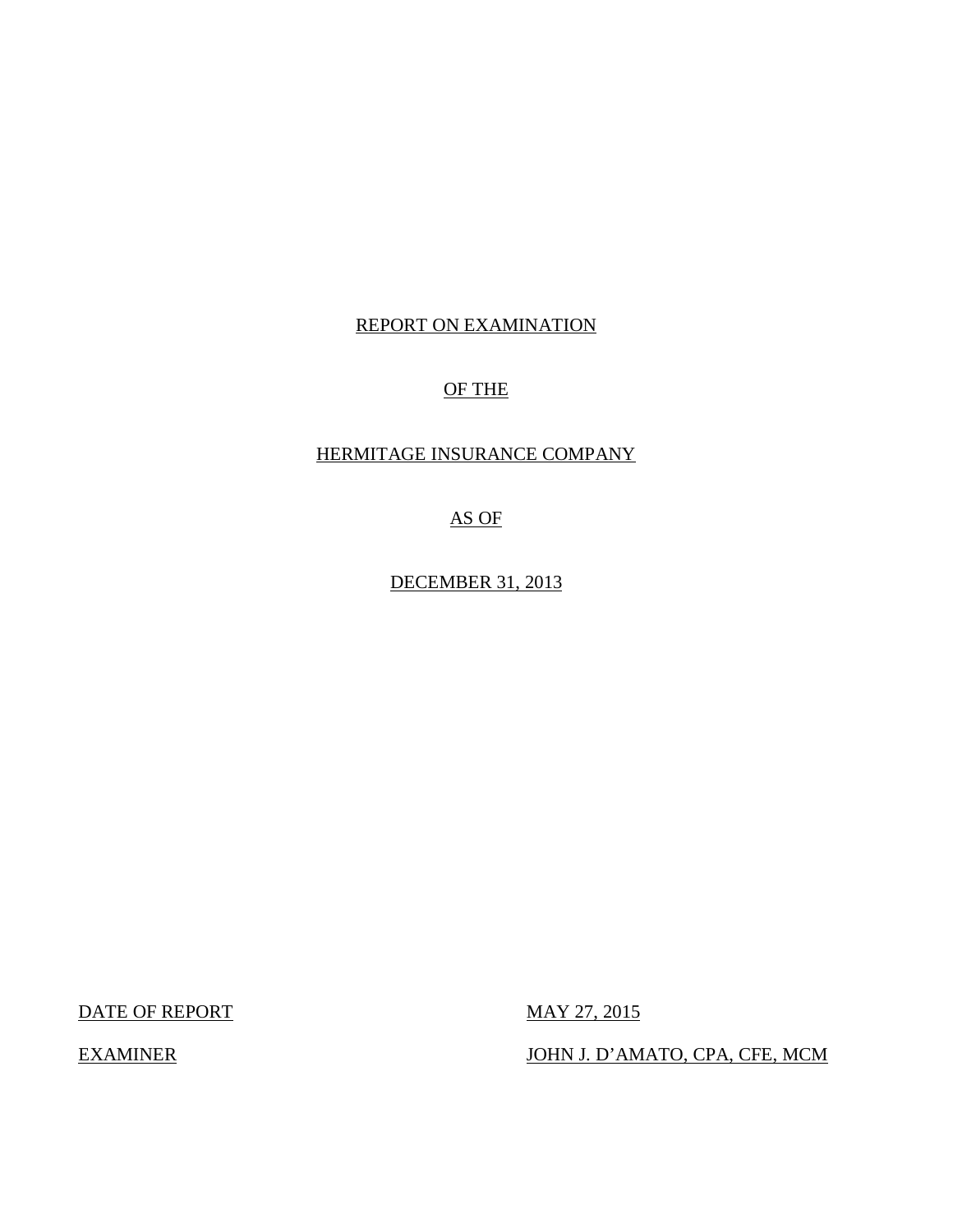## REPORT ON EXAMINATION

# OF THE

# HERMITAGE INSURANCE COMPANY

AS OF

DECEMBER 31, 2013

DATE OF REPORT MAY 27, 2015

EXAMINER JOHN J. D'AMATO, CPA, CFE, MCM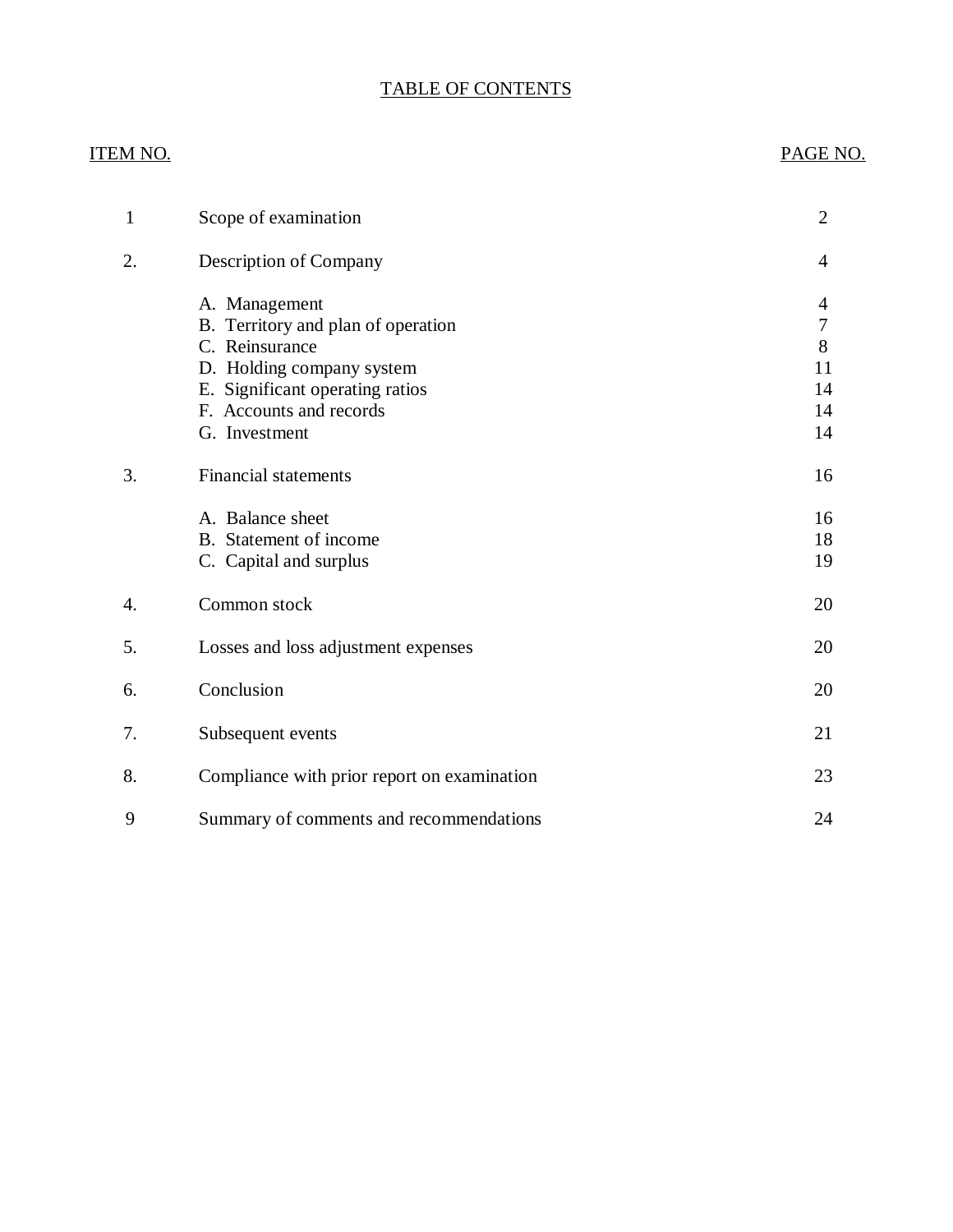# TABLE OF CONTENTS

| ITEM NO.         |                                             | PAGE NO.       |
|------------------|---------------------------------------------|----------------|
| $\mathbf{1}$     | Scope of examination                        | $\overline{2}$ |
| 2.               | Description of Company                      | $\overline{4}$ |
|                  | A. Management                               | $\overline{4}$ |
|                  | B. Territory and plan of operation          | 7              |
|                  | C. Reinsurance                              | 8              |
|                  | D. Holding company system                   | 11             |
|                  | E. Significant operating ratios             | 14             |
|                  | F. Accounts and records                     | 14             |
|                  | G. Investment                               | 14             |
| 3.               | <b>Financial statements</b>                 | 16             |
|                  | A. Balance sheet                            | 16             |
|                  | B. Statement of income                      | 18             |
|                  | C. Capital and surplus                      | 19             |
| $\overline{4}$ . | Common stock                                | 20             |
| 5.               | Losses and loss adjustment expenses         | 20             |
| 6.               | Conclusion                                  | 20             |
| 7.               | Subsequent events                           | 21             |
| 8.               | Compliance with prior report on examination | 23             |
| 9                | Summary of comments and recommendations     | 24             |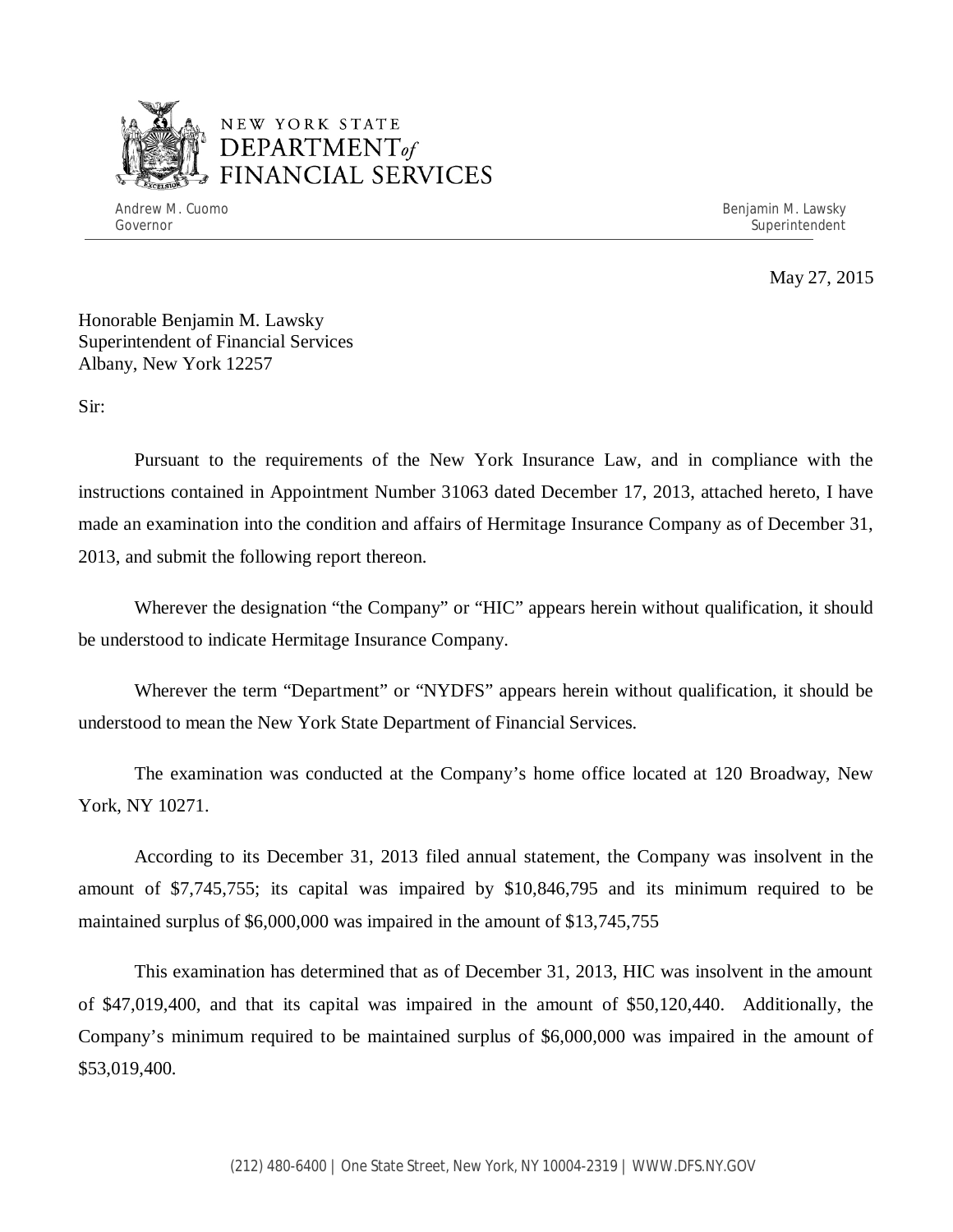

# NEW YORK STATE *DEPARTMENTof*  FINANCIAL SERVICES

Andrew M. Cuomo **Benjamin M. Lawsky** Governor Superintendent Superintendent Superintendent Superintendent Superintendent Superintendent Superintendent

May 27, 2015

Honorable Benjamin M. Lawsky Superintendent of Financial Services Albany, New York 12257

Sir:

Pursuant to the requirements of the New York Insurance Law, and in compliance with the instructions contained in Appointment Number 31063 dated December 17, 2013, attached hereto, I have made an examination into the condition and affairs of Hermitage Insurance Company as of December 31, 2013, and submit the following report thereon.

Wherever the designation "the Company" or "HIC" appears herein without qualification, it should be understood to indicate Hermitage Insurance Company.

Wherever the term "Department" or "NYDFS" appears herein without qualification, it should be understood to mean the New York State Department of Financial Services.

The examination was conducted at the Company's home office located at 120 Broadway, New York, NY 10271.

According to its December 31, 2013 filed annual statement, the Company was insolvent in the amount of \$7,745,755; its capital was impaired by \$10,846,795 and its minimum required to be maintained surplus of \$6,000,000 was impaired in the amount of \$13,745,755

This examination has determined that as of December 31, 2013, HIC was insolvent in the amount of \$47,019,400, and that its capital was impaired in the amount of \$50,120,440. Additionally, the Company's minimum required to be maintained surplus of \$6,000,000 was impaired in the amount of \$53,019,400.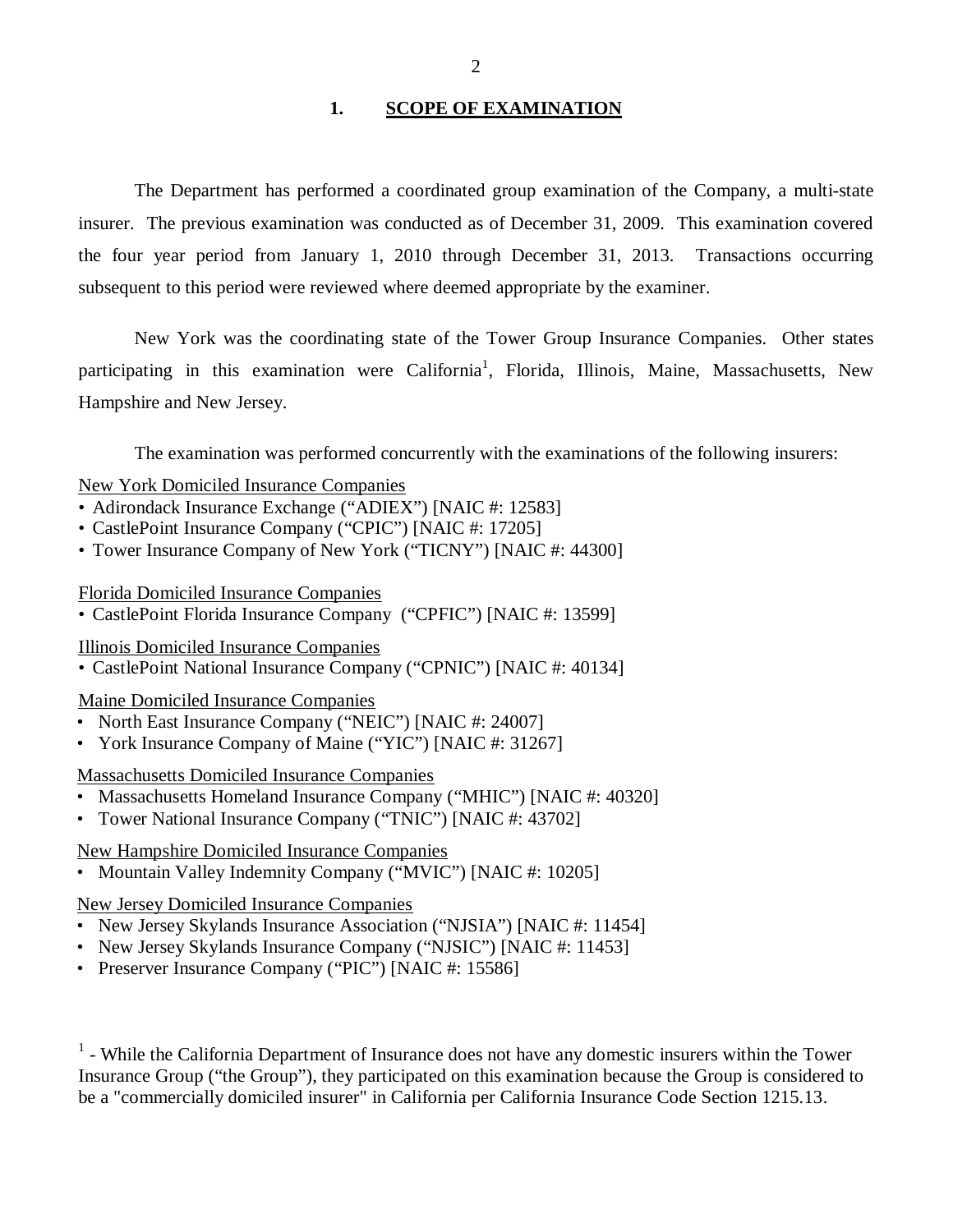### 1. **SCOPE OF EXAMINATION**

<span id="page-3-0"></span>The Department has performed a coordinated group examination of the Company*,* a multi-state insurer. The previous examination was conducted as of December 31, 2009. This examination covered the four year period from January 1, 2010 through December 31, 2013. Transactions occurring subsequent to this period were reviewed where deemed appropriate by the examiner.

New York was the coordinating state of the Tower Group Insurance Companies. Other states participating in this examination were California<sup>1</sup>, Florida, Illinois, Maine, Massachusetts, New Hampshire and New Jersey.

The examination was performed concurrently with the examinations of the following insurers:

### New York Domiciled Insurance Companies

- Adirondack Insurance Exchange ("ADIEX") [NAIC #: 12583]
- CastlePoint Insurance Company ("CPIC") [NAIC #: 17205]
- Tower Insurance Company of New York ("TICNY") [NAIC #: 44300]

### Florida Domiciled Insurance Companies

• CastlePoint Florida Insurance Company ("CPFIC") [NAIC #: 13599]

### Illinois Domiciled Insurance Companies

• CastlePoint National Insurance Company ("CPNIC") [NAIC #: 40134]

### Maine Domiciled Insurance Companies

- North East Insurance Company ("NEIC") [NAIC #: 24007]
- York Insurance Company of Maine ("YIC") [NAIC #: 31267]

### Massachusetts Domiciled Insurance Companies

- Massachusetts Homeland Insurance Company ("MHIC") [NAIC #: 40320]
- Tower National Insurance Company ("TNIC") [NAIC #: 43702]

### New Hampshire Domiciled Insurance Companies

• Mountain Valley Indemnity Company ("MVIC") [NAIC #: 10205]

### New Jersey Domiciled Insurance Companies

- New Jersey Skylands Insurance Association ("NJSIA") [NAIC #: 11454]
- New Jersey Skylands Insurance Company ("NJSIC") [NAIC #: 11453]
- Preserver Insurance Company ("PIC") [NAIC #: 15586]

 $<sup>1</sup>$  - While the California Department of Insurance does not have any domestic insurers within the Tower</sup> Insurance Group ("the Group"), they participated on this examination because the Group is considered to be a "commercially domiciled insurer" in California per California Insurance Code Section 1215.13.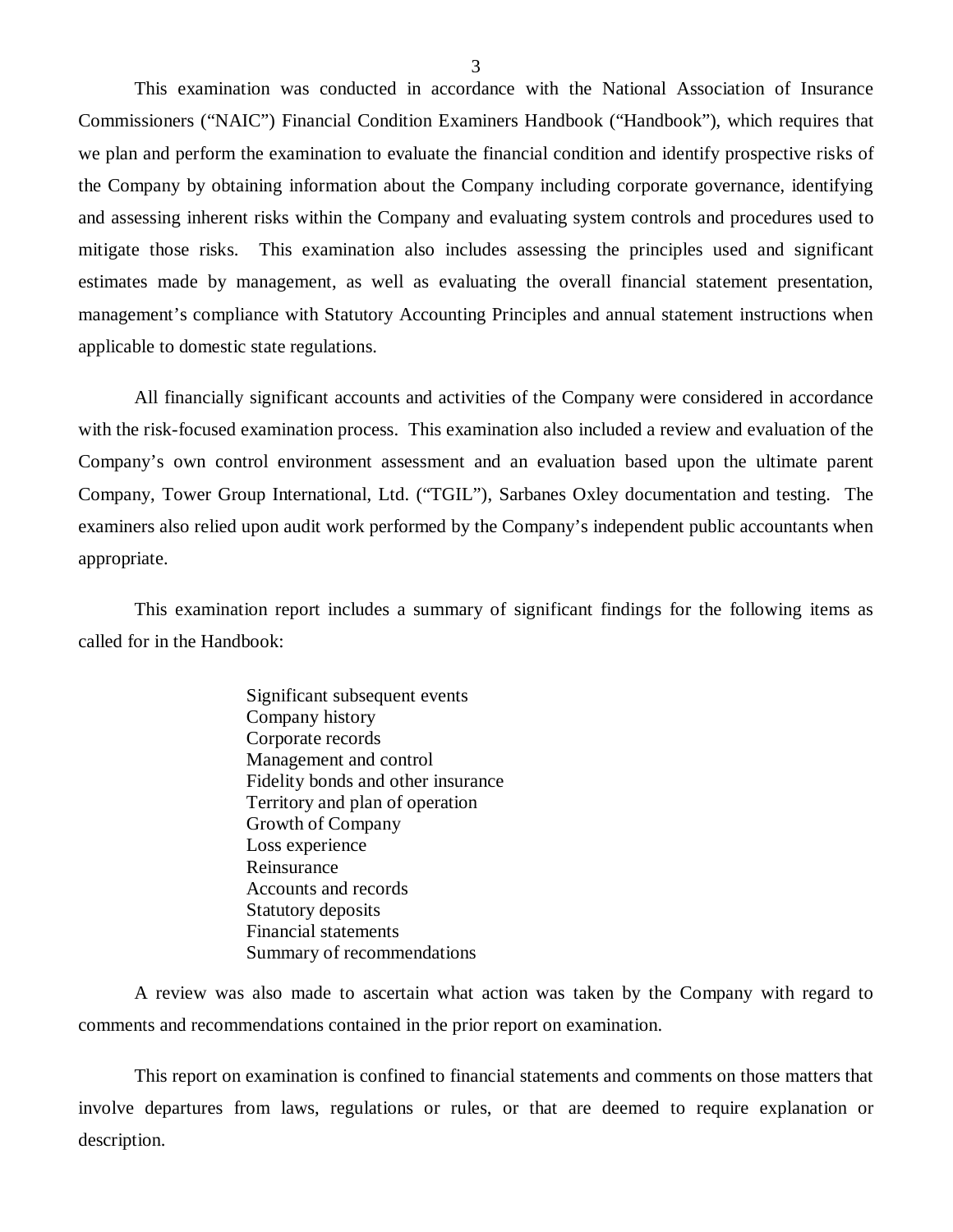This examination was conducted in accordance with the National Association of Insurance Commissioners ("NAIC") Financial Condition Examiners Handbook ("Handbook"), which requires that we plan and perform the examination to evaluate the financial condition and identify prospective risks of the Company by obtaining information about the Company including corporate governance, identifying and assessing inherent risks within the Company and evaluating system controls and procedures used to mitigate those risks. This examination also includes assessing the principles used and significant estimates made by management, as well as evaluating the overall financial statement presentation, management's compliance with Statutory Accounting Principles and annual statement instructions when applicable to domestic state regulations.

All financially significant accounts and activities of the Company were considered in accordance with the risk-focused examination process. This examination also included a review and evaluation of the Company's own control environment assessment and an evaluation based upon the ultimate parent Company, Tower Group International, Ltd. ("TGIL"), Sarbanes Oxley documentation and testing. The examiners also relied upon audit work performed by the Company's independent public accountants when appropriate.

This examination report includes a summary of significant findings for the following items as called for in the Handbook:

> Significant subsequent events Company history Corporate records Management and control Fidelity bonds and other insurance Territory and plan of operation Growth of Company Loss experience Reinsurance Accounts and records Statutory deposits Financial statements Summary of recommendations

A review was also made to ascertain what action was taken by the Company with regard to comments and recommendations contained in the prior report on examination.

This report on examination is confined to financial statements and comments on those matters that involve departures from laws, regulations or rules, or that are deemed to require explanation or description.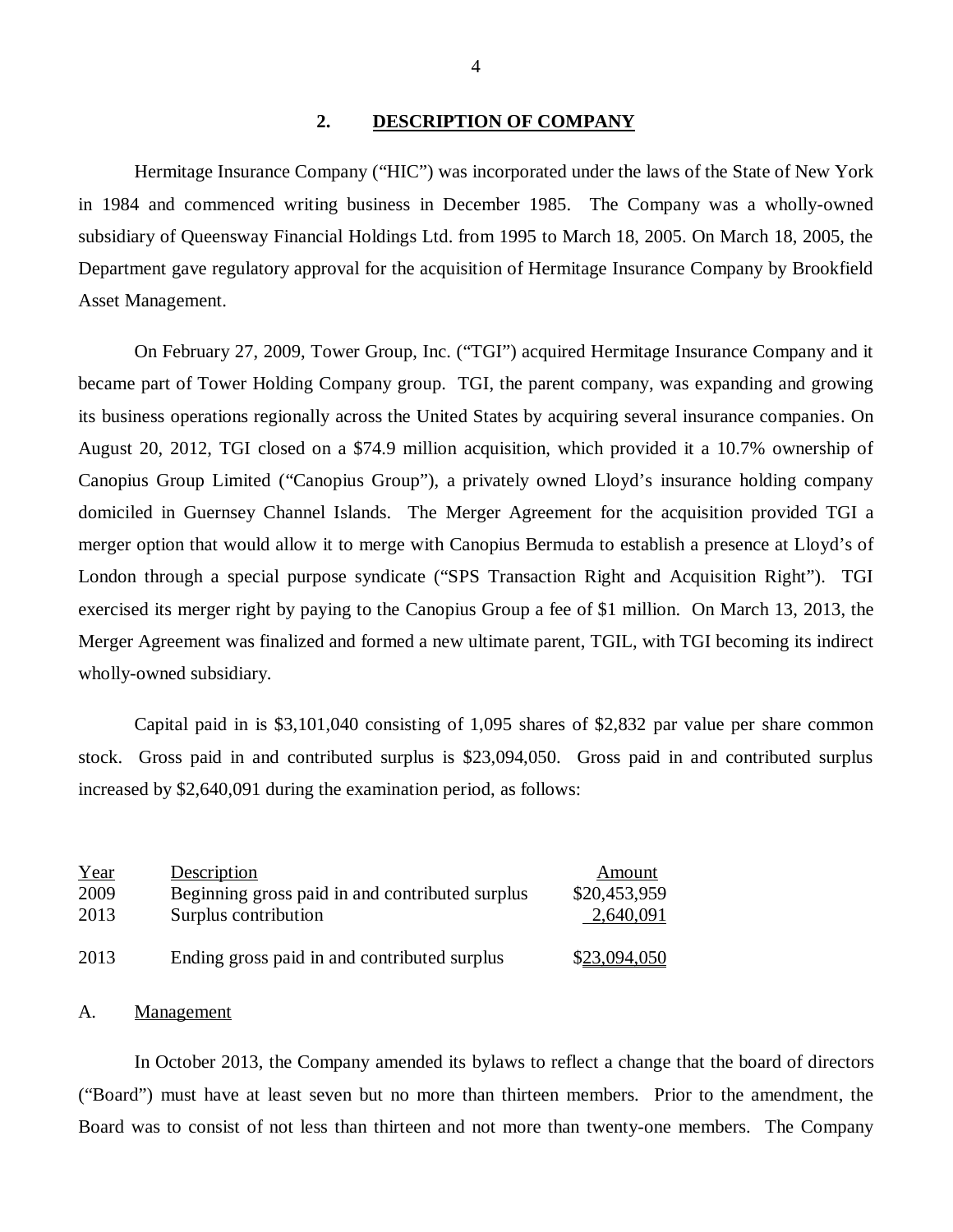### **2. DESCRIPTION OF COMPANY**

Hermitage Insurance Company ("HIC") was incorporated under the laws of the State of New York in 1984 and commenced writing business in December 1985. The Company was a wholly-owned subsidiary of Queensway Financial Holdings Ltd. from 1995 to March 18, 2005. On March 18, 2005, the Department gave regulatory approval for the acquisition of Hermitage Insurance Company by Brookfield Asset Management.

On February 27, 2009, Tower Group, Inc. ("TGI") acquired Hermitage Insurance Company and it became part of Tower Holding Company group. TGI, the parent company, was expanding and growing its business operations regionally across the United States by acquiring several insurance companies. On August 20, 2012, TGI closed on a \$74.9 million acquisition, which provided it a 10.7% ownership of Canopius Group Limited ("Canopius Group"), a privately owned Lloyd's insurance holding company domiciled in Guernsey Channel Islands. The Merger Agreement for the acquisition provided TGI a merger option that would allow it to merge with Canopius Bermuda to establish a presence at Lloyd's of London through a special purpose syndicate ("SPS Transaction Right and Acquisition Right"). TGI exercised its merger right by paying to the Canopius Group a fee of \$1 million. On March 13, 2013, the Merger Agreement was finalized and formed a new ultimate parent, TGIL, with TGI becoming its indirect wholly-owned subsidiary.

Capital paid in is \$3,101,040 consisting of 1,095 shares of \$2,832 par value per share common stock. Gross paid in and contributed surplus is \$23,094,050. Gross paid in and contributed surplus increased by \$2,640,091 during the examination period, as follows:

| Year | Description                                     | Amount       |
|------|-------------------------------------------------|--------------|
| 2009 | Beginning gross paid in and contributed surplus | \$20,453,959 |
| 2013 | Surplus contribution                            | 2,640,091    |
| 2013 | Ending gross paid in and contributed surplus    | \$23,094,050 |

### A. Management

In October 2013, the Company amended its bylaws to reflect a change that the board of directors ("Board") must have at least seven but no more than thirteen members. Prior to the amendment, the Board was to consist of not less than thirteen and not more than twenty-one members. The Company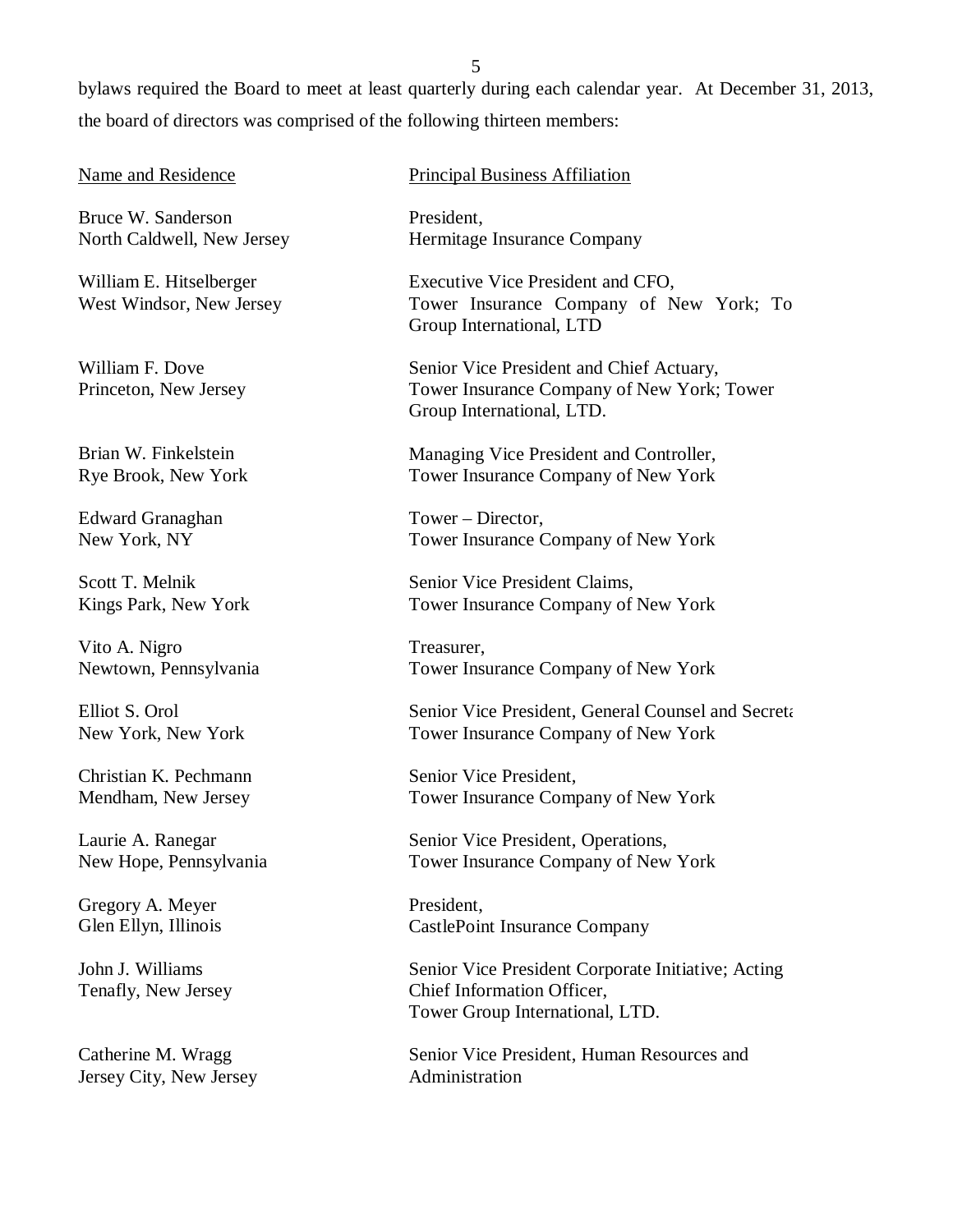bylaws required the Board to meet at least quarterly during each calendar year. At December 31, 2013, the board of directors was comprised of the following thirteen members:

### Name and Residence

Bruce W. Sanderson North Caldwell, New Jersey

William E. Hitselberger West Windsor, New Jersey

William F. Dove Princeton, New Jersey

Brian W. Finkelstein Rye Brook, New York

Edward Granaghan New York, NY

Scott T. Melnik Kings Park, New York

Vito A. Nigro Newtown, Pennsylvania

Elliot S. Orol New York, New York

Christian K. Pechmann Mendham, New Jersey

Laurie A. Ranegar New Hope, Pennsylvania

Gregory A. Meyer Glen Ellyn, Illinois

John J. Williams Tenafly, New Jersey

Catherine M. Wragg Jersey City, New Jersey Principal Business Affiliation

President, Hermitage Insurance Company

Executive Vice President and CFO, Tower Insurance Company of New York; To Group International, LTD

Senior Vice President and Chief Actuary, Tower Insurance Company of New York; Tower Group International, LTD.

Managing Vice President and Controller, Tower Insurance Company of New York

Tower – Director, Tower Insurance Company of New York

Senior Vice President Claims, Tower Insurance Company of New York

Treasurer, Tower Insurance Company of New York

Senior Vice President, General Counsel and Secreta Tower Insurance Company of New York

Senior Vice President, Tower Insurance Company of New York

Senior Vice President, Operations, Tower Insurance Company of New York

President, CastlePoint Insurance Company

Senior Vice President Corporate Initiative; Acting Chief Information Officer, Tower Group International, LTD.

Senior Vice President, Human Resources and Administration

5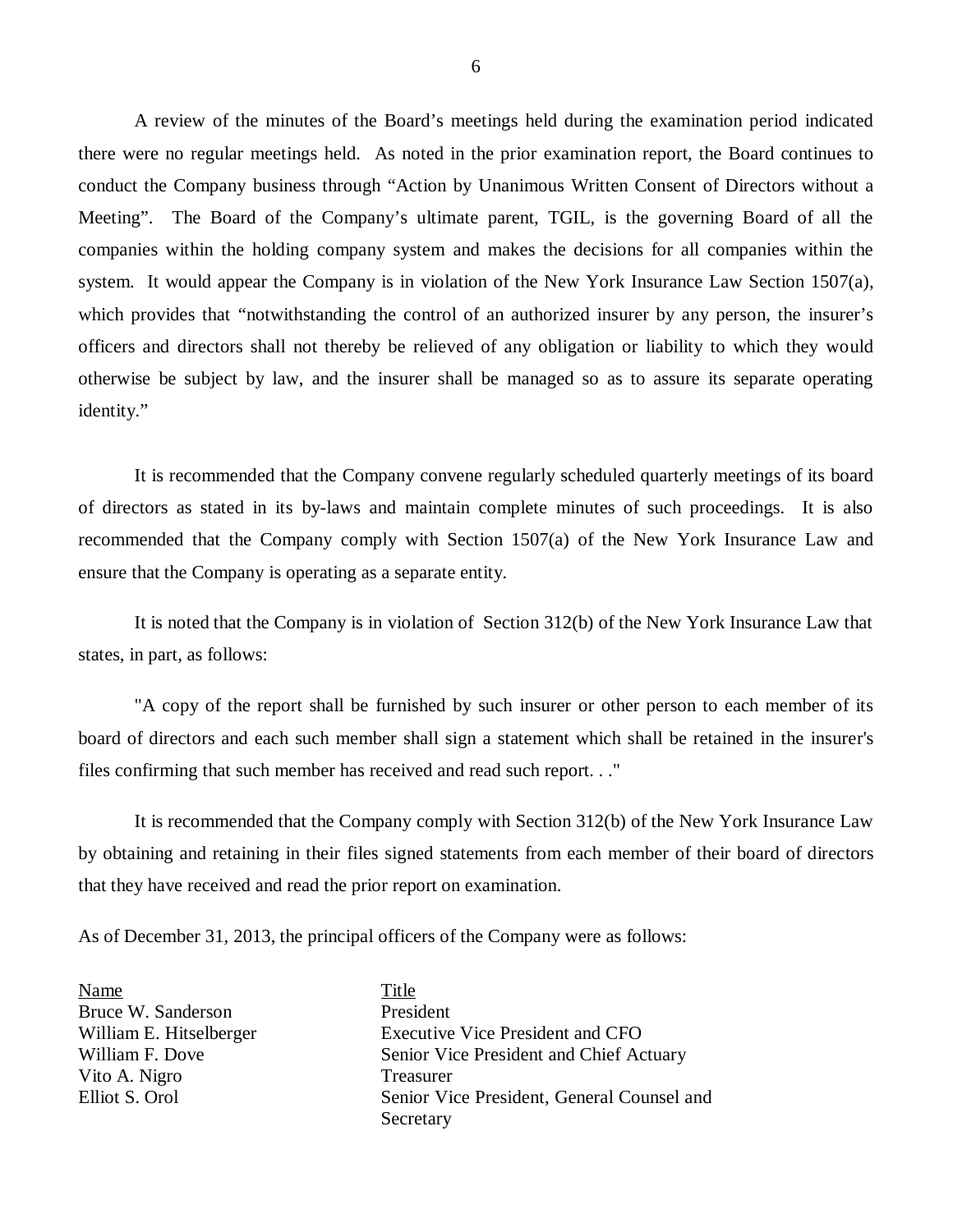A review of the minutes of the Board's meetings held during the examination period indicated there were no regular meetings held. As noted in the prior examination report, the Board continues to conduct the Company business through "Action by Unanimous Written Consent of Directors without a Meeting". The Board of the Company's ultimate parent, TGIL, is the governing Board of all the companies within the holding company system and makes the decisions for all companies within the system. It would appear the Company is in violation of the New York Insurance Law Section 1507(a), which provides that "notwithstanding the control of an authorized insurer by any person, the insurer's officers and directors shall not thereby be relieved of any obligation or liability to which they would otherwise be subject by law, and the insurer shall be managed so as to assure its separate operating identity."

It is recommended that the Company convene regularly scheduled quarterly meetings of its board of directors as stated in its by-laws and maintain complete minutes of such proceedings. It is also recommended that the Company comply with Section 1507(a) of the New York Insurance Law and ensure that the Company is operating as a separate entity.

It is noted that the Company is in violation of Section 312(b) of the New York Insurance Law that states, in part, as follows:

"A copy of the report shall be furnished by such insurer or other person to each member of its board of directors and each such member shall sign a statement which shall be retained in the insurer's files confirming that such member has received and read such report. . ."

It is recommended that the Company comply with Section 312(b) of the New York Insurance Law by obtaining and retaining in their files signed statements from each member of their board of directors that they have received and read the prior report on examination.

As of December 31, 2013, the principal officers of the Company were as follows:

Name Title Bruce W. Sanderson President Vito A. Nigro Treasurer

William E. Hitselberger Executive Vice President and CFO William F. Dove Senior Vice President and Chief Actuary Elliot S. Orol Senior Vice President, General Counsel and Secretary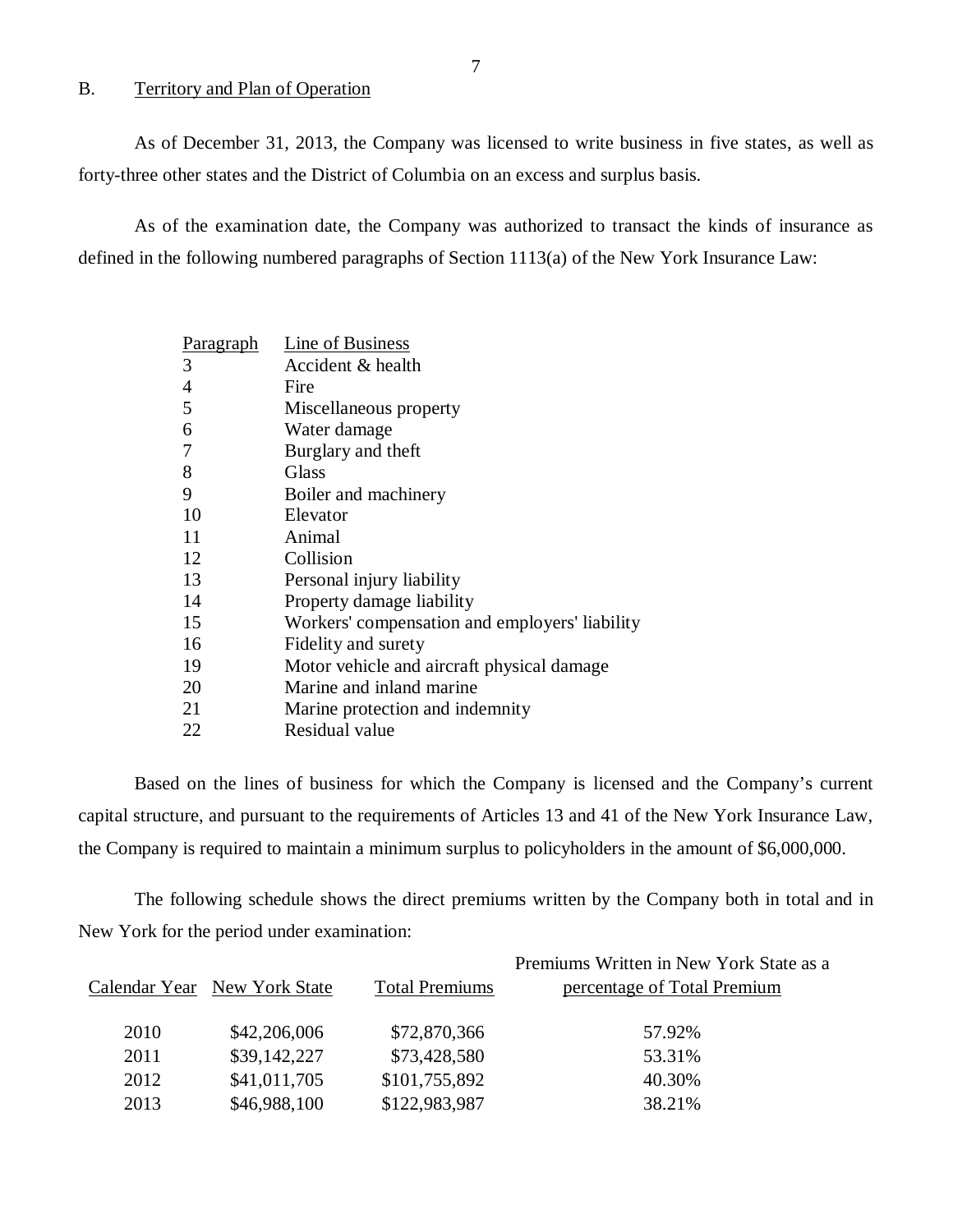### B. Territory and Plan of Operation

As of December 31, 2013, the Company was licensed to write business in five states, as well as forty-three other states and the District of Columbia on an excess and surplus basis.

As of the examination date, the Company was authorized to transact the kinds of insurance as defined in the following numbered paragraphs of Section 1113(a) of the New York Insurance Law:

| Paragraph | Line of Business                               |
|-----------|------------------------------------------------|
| 3         | Accident & health                              |
| 4         | Fire                                           |
| 5         | Miscellaneous property                         |
| 6         | Water damage                                   |
| 7         | Burglary and theft                             |
| 8         | Glass                                          |
| 9         | Boiler and machinery                           |
| 10        | Elevator                                       |
| 11        | Animal                                         |
| 12        | Collision                                      |
| 13        | Personal injury liability                      |
| 14        | Property damage liability                      |
| 15        | Workers' compensation and employers' liability |
| 16        | Fidelity and surety                            |
| 19        | Motor vehicle and aircraft physical damage     |
| 20        | Marine and inland marine                       |
| 21        | Marine protection and indemnity                |
| 22        | Residual value                                 |

Based on the lines of business for which the Company is licensed and the Company's current capital structure, and pursuant to the requirements of Articles 13 and 41 of the New York Insurance Law, the Company is required to maintain a minimum surplus to policyholders in the amount of \$6,000,000.

The following schedule shows the direct premiums written by the Company both in total and in New York for the period under examination:

|      |                              |                       | Premiums Written in New York State as a |
|------|------------------------------|-----------------------|-----------------------------------------|
|      | Calendar Year New York State | <b>Total Premiums</b> | percentage of Total Premium             |
|      |                              |                       |                                         |
| 2010 | \$42,206,006                 | \$72,870,366          | 57.92%                                  |
| 2011 | \$39,142,227                 | \$73,428,580          | 53.31%                                  |
| 2012 | \$41,011,705                 | \$101,755,892         | 40.30%                                  |
| 2013 | \$46,988,100                 | \$122,983,987         | 38.21%                                  |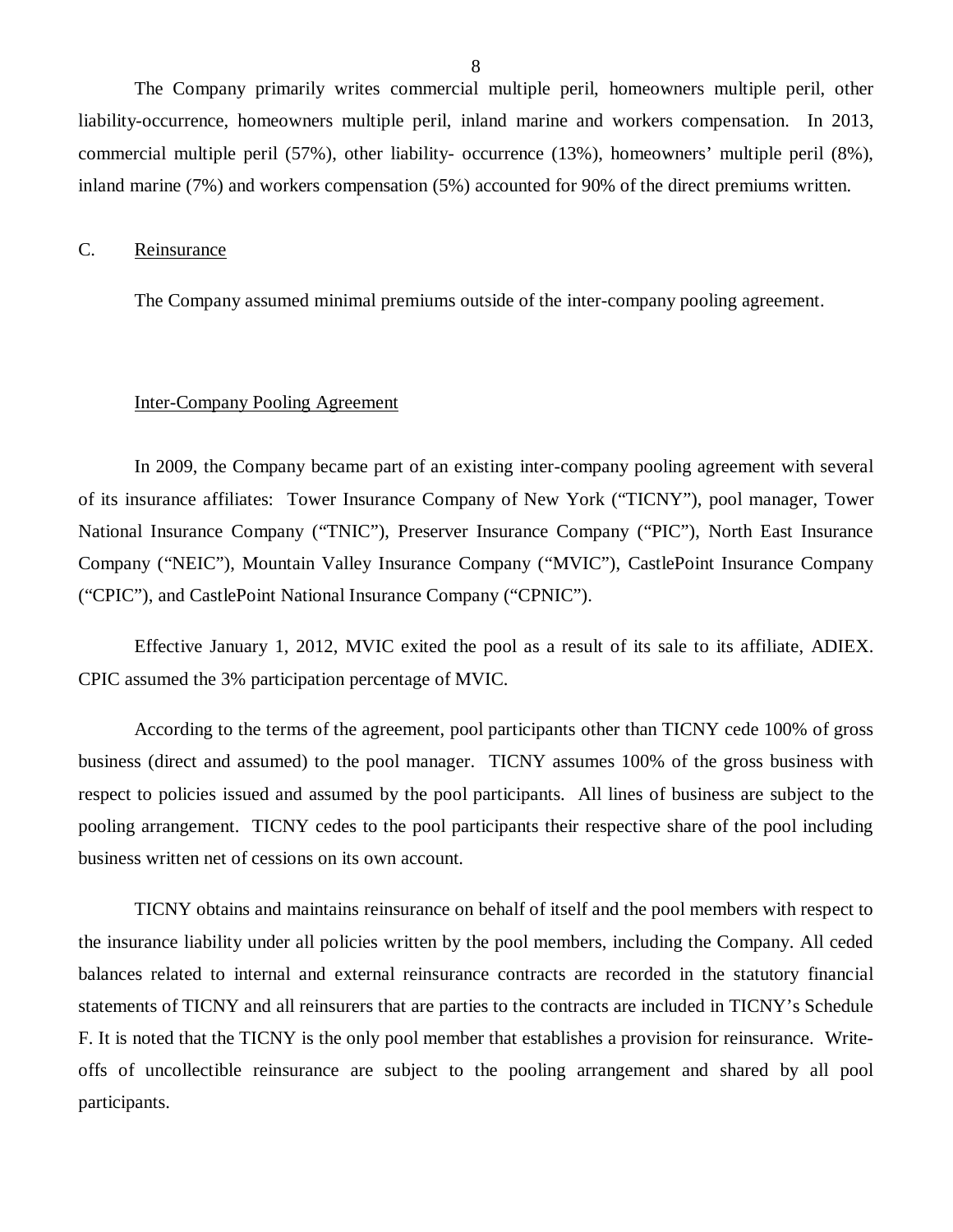<span id="page-9-0"></span>The Company primarily writes commercial multiple peril, homeowners multiple peril, other liability-occurrence, homeowners multiple peril, inland marine and workers compensation. In 2013, commercial multiple peril (57%), other liability- occurrence (13%), homeowners' multiple peril (8%), inland marine (7%) and workers compensation (5%) accounted for 90% of the direct premiums written.

### C. Reinsurance

The Company assumed minimal premiums outside of the inter-company pooling agreement.

### Inter-Company Pooling Agreement

In 2009, the Company became part of an existing inter-company pooling agreement with several of its insurance affiliates: Tower Insurance Company of New York ("TICNY"), pool manager, Tower National Insurance Company ("TNIC"), Preserver Insurance Company ("PIC"), North East Insurance Company ("NEIC"), Mountain Valley Insurance Company ("MVIC"), CastlePoint Insurance Company ("CPIC"), and CastlePoint National Insurance Company ("CPNIC").

Effective January 1, 2012, MVIC exited the pool as a result of its sale to its affiliate, ADIEX. CPIC assumed the 3% participation percentage of MVIC.

According to the terms of the agreement, pool participants other than TICNY cede 100% of gross business (direct and assumed) to the pool manager. TICNY assumes 100% of the gross business with respect to policies issued and assumed by the pool participants. All lines of business are subject to the pooling arrangement. TICNY cedes to the pool participants their respective share of the pool including business written net of cessions on its own account.

TICNY obtains and maintains reinsurance on behalf of itself and the pool members with respect to the insurance liability under all policies written by the pool members, including the Company. All ceded balances related to internal and external reinsurance contracts are recorded in the statutory financial statements of TICNY and all reinsurers that are parties to the contracts are included in TICNY's Schedule F. It is noted that the TICNY is the only pool member that establishes a provision for reinsurance. Writeoffs of uncollectible reinsurance are subject to the pooling arrangement and shared by all pool participants.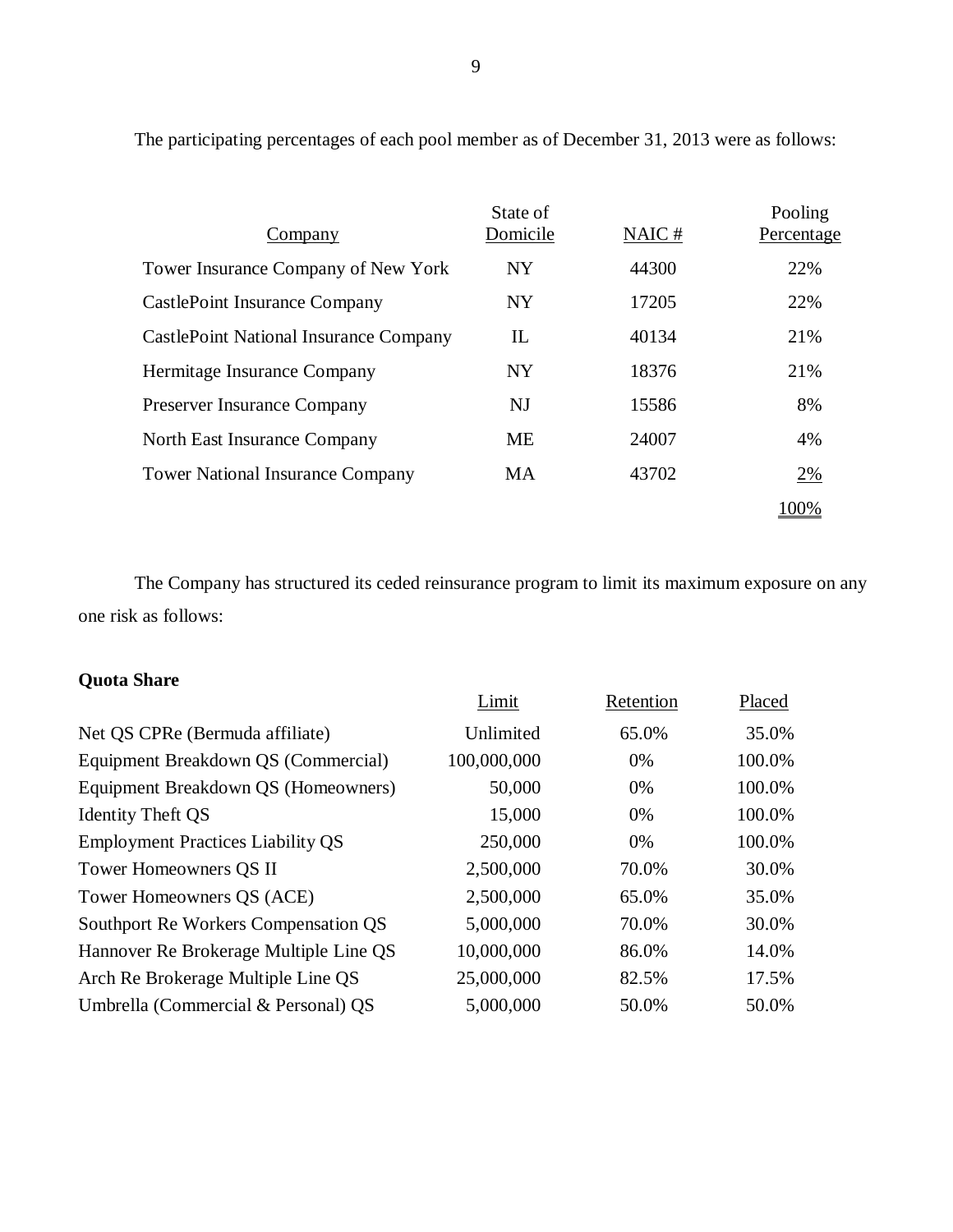| Company                                       | State of<br>Domicile | NAIC# | Pooling<br>Percentage |
|-----------------------------------------------|----------------------|-------|-----------------------|
| Tower Insurance Company of New York           | <b>NY</b>            | 44300 | 22%                   |
| <b>CastlePoint Insurance Company</b>          | <b>NY</b>            | 17205 | 22%                   |
| <b>CastlePoint National Insurance Company</b> | IL                   | 40134 | 21%                   |
| Hermitage Insurance Company                   | <b>NY</b>            | 18376 | 21%                   |
| <b>Preserver Insurance Company</b>            | NJ                   | 15586 | 8%                    |
| North East Insurance Company                  | <b>ME</b>            | 24007 | 4%                    |
| <b>Tower National Insurance Company</b>       | МA                   | 43702 | 2%                    |
|                                               |                      |       | 100%                  |

The participating percentages of each pool member as of December 31, 2013 were as follows:

The Company has structured its ceded reinsurance program to limit its maximum exposure on any one risk as follows:

# **Quota Share**

|                                          | Limit       | Retention | Placed |
|------------------------------------------|-------------|-----------|--------|
| Net QS CPRe (Bermuda affiliate)          | Unlimited   | 65.0%     | 35.0%  |
| Equipment Breakdown QS (Commercial)      | 100,000,000 | 0%        | 100.0% |
| Equipment Breakdown QS (Homeowners)      | 50,000      | 0%        | 100.0% |
| <b>Identity Theft QS</b>                 | 15,000      | 0%        | 100.0% |
| <b>Employment Practices Liability QS</b> | 250,000     | 0%        | 100.0% |
| Tower Homeowners QS II                   | 2,500,000   | 70.0%     | 30.0%  |
| Tower Homeowners QS (ACE)                | 2,500,000   | 65.0%     | 35.0%  |
| Southport Re Workers Compensation QS     | 5,000,000   | 70.0%     | 30.0%  |
| Hannover Re Brokerage Multiple Line QS   | 10,000,000  | 86.0%     | 14.0%  |
| Arch Re Brokerage Multiple Line QS       | 25,000,000  | 82.5%     | 17.5%  |
| Umbrella (Commercial & Personal) QS      | 5,000,000   | 50.0%     | 50.0%  |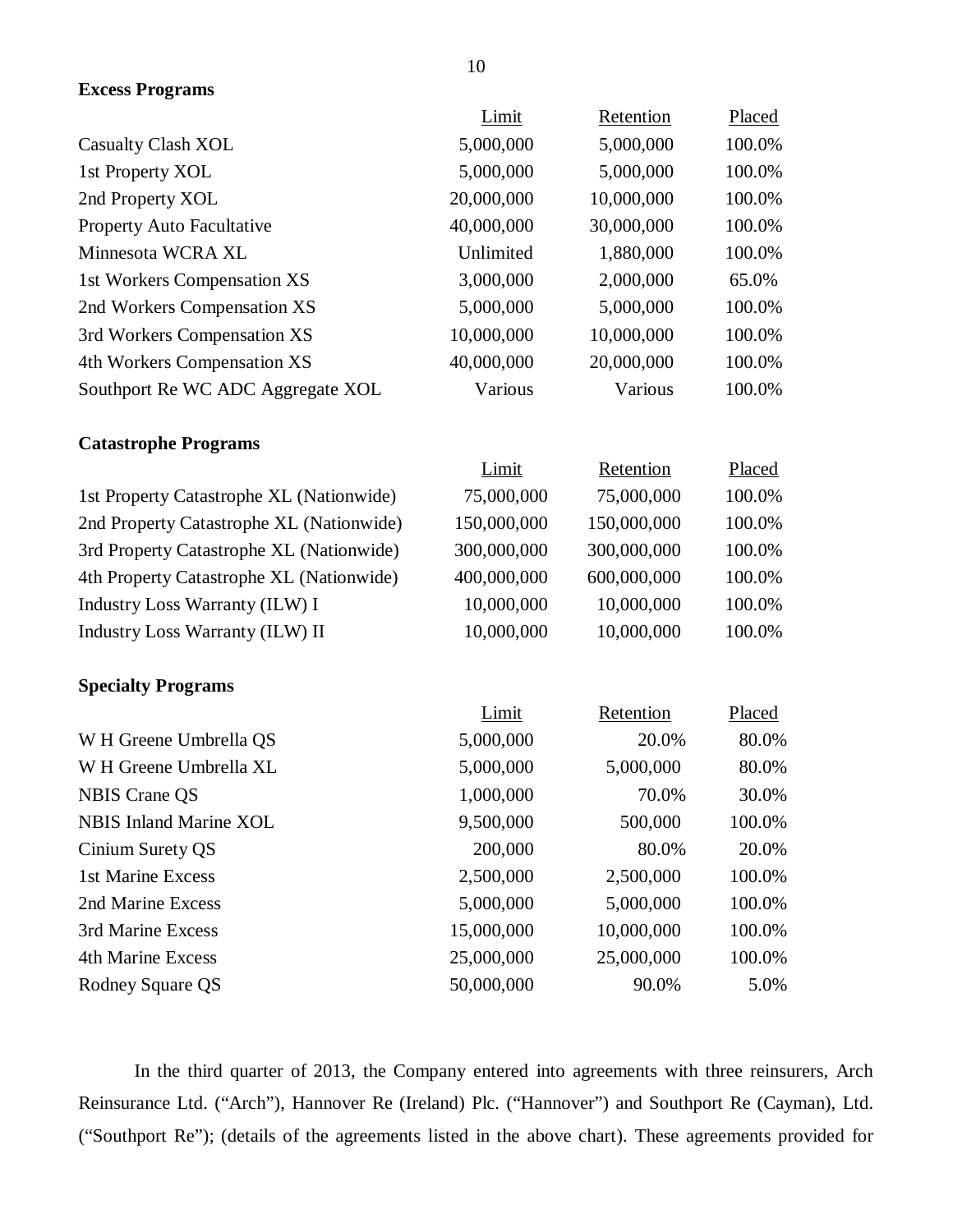| <b>Excess Programs</b>                   |             |             |        |
|------------------------------------------|-------------|-------------|--------|
|                                          | Limit       | Retention   | Placed |
| <b>Casualty Clash XOL</b>                | 5,000,000   | 5,000,000   | 100.0% |
| 1st Property XOL                         | 5,000,000   | 5,000,000   | 100.0% |
| 2nd Property XOL                         | 20,000,000  | 10,000,000  | 100.0% |
| Property Auto Facultative                | 40,000,000  | 30,000,000  | 100.0% |
| Minnesota WCRA XL                        | Unlimited   | 1,880,000   | 100.0% |
| 1st Workers Compensation XS              | 3,000,000   | 2,000,000   | 65.0%  |
| 2nd Workers Compensation XS              | 5,000,000   | 5,000,000   | 100.0% |
| 3rd Workers Compensation XS              | 10,000,000  | 10,000,000  | 100.0% |
| 4th Workers Compensation XS              | 40,000,000  | 20,000,000  | 100.0% |
| Southport Re WC ADC Aggregate XOL        | Various     | Various     | 100.0% |
| <b>Catastrophe Programs</b>              |             |             |        |
|                                          | Limit       | Retention   | Placed |
| 1st Property Catastrophe XL (Nationwide) | 75,000,000  | 75,000,000  | 100.0% |
| 2nd Property Catastrophe XL (Nationwide) | 150,000,000 | 150,000,000 | 100.0% |
| 3rd Property Catastrophe XL (Nationwide) | 300,000,000 | 300,000,000 | 100.0% |
| 4th Property Catastrophe XL (Nationwide) | 400,000,000 | 600,000,000 | 100.0% |
| <b>Industry Loss Warranty (ILW) I</b>    | 10,000,000  | 10,000,000  | 100.0% |
| Industry Loss Warranty (ILW) II          | 10,000,000  | 10,000,000  | 100.0% |
| <b>Specialty Programs</b>                |             |             |        |
|                                          | Limit       | Retention   | Placed |
| W H Greene Umbrella QS                   | 5,000,000   | 20.0%       | 80.0%  |
| W H Greene Umbrella XL                   | 5,000,000   | 5,000,000   | 80.0%  |
| <b>NBIS Crane QS</b>                     | 1,000,000   | 70.0%       | 30.0%  |
| <b>NBIS Inland Marine XOL</b>            | 9,500,000   | 500,000     | 100.0% |
| Cinium Surety QS                         | 200,000     | 80.0%       | 20.0%  |
| 1st Marine Excess                        | 2,500,000   | 2,500,000   | 100.0% |
| 2nd Marine Excess                        | 5,000,000   | 5,000,000   | 100.0% |
| 3rd Marine Excess                        | 15,000,000  | 10,000,000  | 100.0% |
| <b>4th Marine Excess</b>                 | 25,000,000  | 25,000,000  | 100.0% |
| Rodney Square QS                         | 50,000,000  | 90.0%       | 5.0%   |

In the third quarter of 2013, the Company entered into agreements with three reinsurers, Arch Reinsurance Ltd. ("Arch"), Hannover Re (Ireland) Plc. ("Hannover") and Southport Re (Cayman), Ltd. ("Southport Re"); (details of the agreements listed in the above chart). These agreements provided for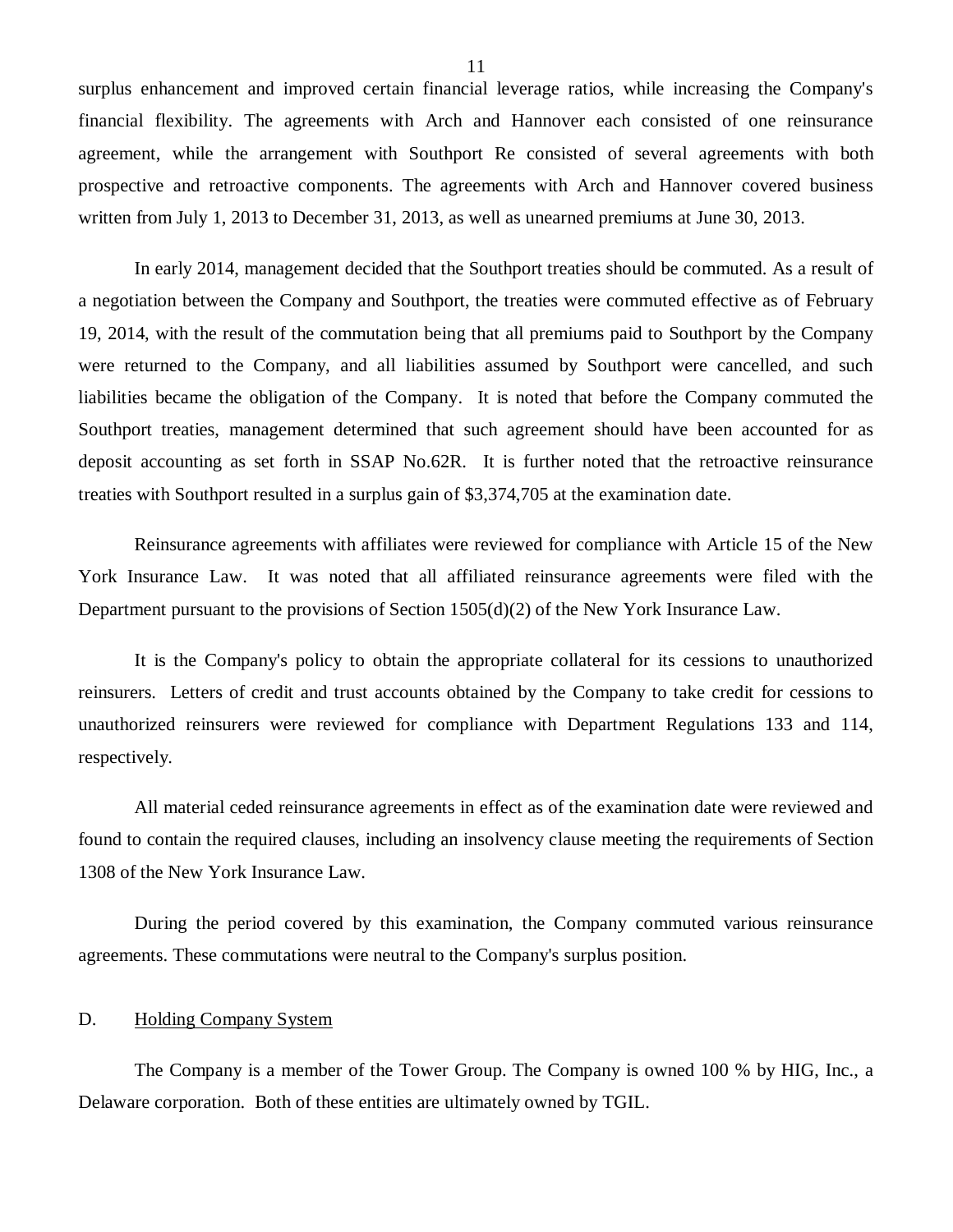<span id="page-12-0"></span>surplus enhancement and improved certain financial leverage ratios, while increasing the Company's financial flexibility. The agreements with Arch and Hannover each consisted of one reinsurance agreement, while the arrangement with Southport Re consisted of several agreements with both prospective and retroactive components. The agreements with Arch and Hannover covered business written from July 1, 2013 to December 31, 2013, as well as unearned premiums at June 30, 2013.

In early 2014, management decided that the Southport treaties should be commuted. As a result of a negotiation between the Company and Southport, the treaties were commuted effective as of February 19, 2014, with the result of the commutation being that all premiums paid to Southport by the Company were returned to the Company, and all liabilities assumed by Southport were cancelled, and such liabilities became the obligation of the Company. It is noted that before the Company commuted the Southport treaties, management determined that such agreement should have been accounted for as deposit accounting as set forth in SSAP No.62R. It is further noted that the retroactive reinsurance treaties with Southport resulted in a surplus gain of \$3,374,705 at the examination date.

Reinsurance agreements with affiliates were reviewed for compliance with Article 15 of the New York Insurance Law. It was noted that all affiliated reinsurance agreements were filed with the Department pursuant to the provisions of Section 1505(d)(2) of the New York Insurance Law.

It is the Company's policy to obtain the appropriate collateral for its cessions to unauthorized reinsurers. Letters of credit and trust accounts obtained by the Company to take credit for cessions to unauthorized reinsurers were reviewed for compliance with Department Regulations 133 and 114, respectively.

All material ceded reinsurance agreements in effect as of the examination date were reviewed and found to contain the required clauses, including an insolvency clause meeting the requirements of Section 1308 of the New York Insurance Law.

During the period covered by this examination, the Company commuted various reinsurance agreements. These commutations were neutral to the Company's surplus position.

### D. Holding Company System

The Company is a member of the Tower Group. The Company is owned 100 % by HIG, Inc., a Delaware corporation. Both of these entities are ultimately owned by TGIL.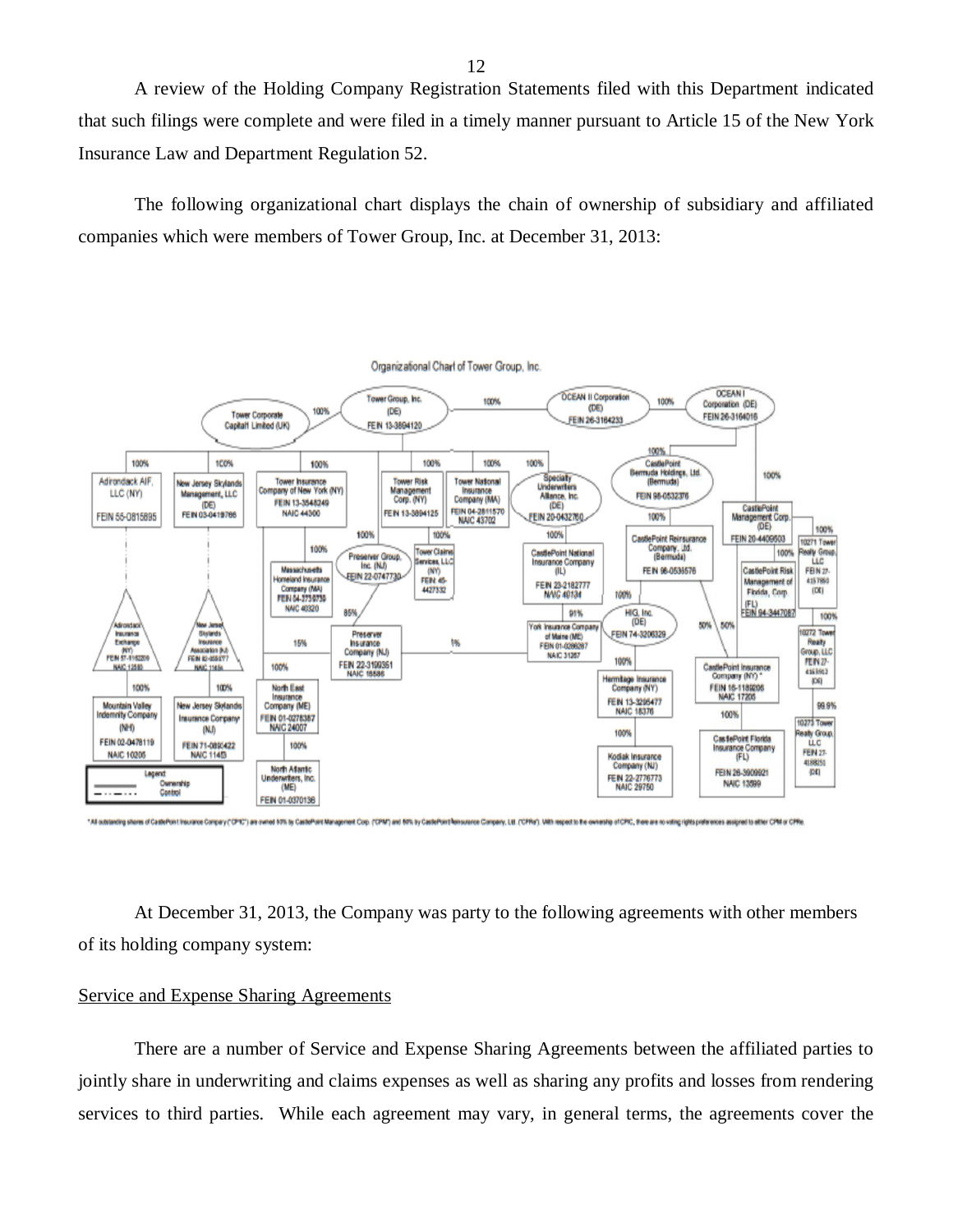A review of the Holding Company Registration Statements filed with this Department indicated that such filings were complete and were filed in a timely manner pursuant to Article 15 of the New York Insurance Law and Department Regulation 52.

The following organizational chart displays the chain of ownership of subsidiary and affiliated companies which were members of Tower Group, Inc. at December 31, 2013:



At December 31, 2013, the Company was party to the following agreements with other members of its holding company system:

### Service and Expense Sharing Agreements

There are a number of Service and Expense Sharing Agreements between the affiliated parties to jointly share in underwriting and claims expenses as well as sharing any profits and losses from rendering services to third parties. While each agreement may vary, in general terms, the agreements cover the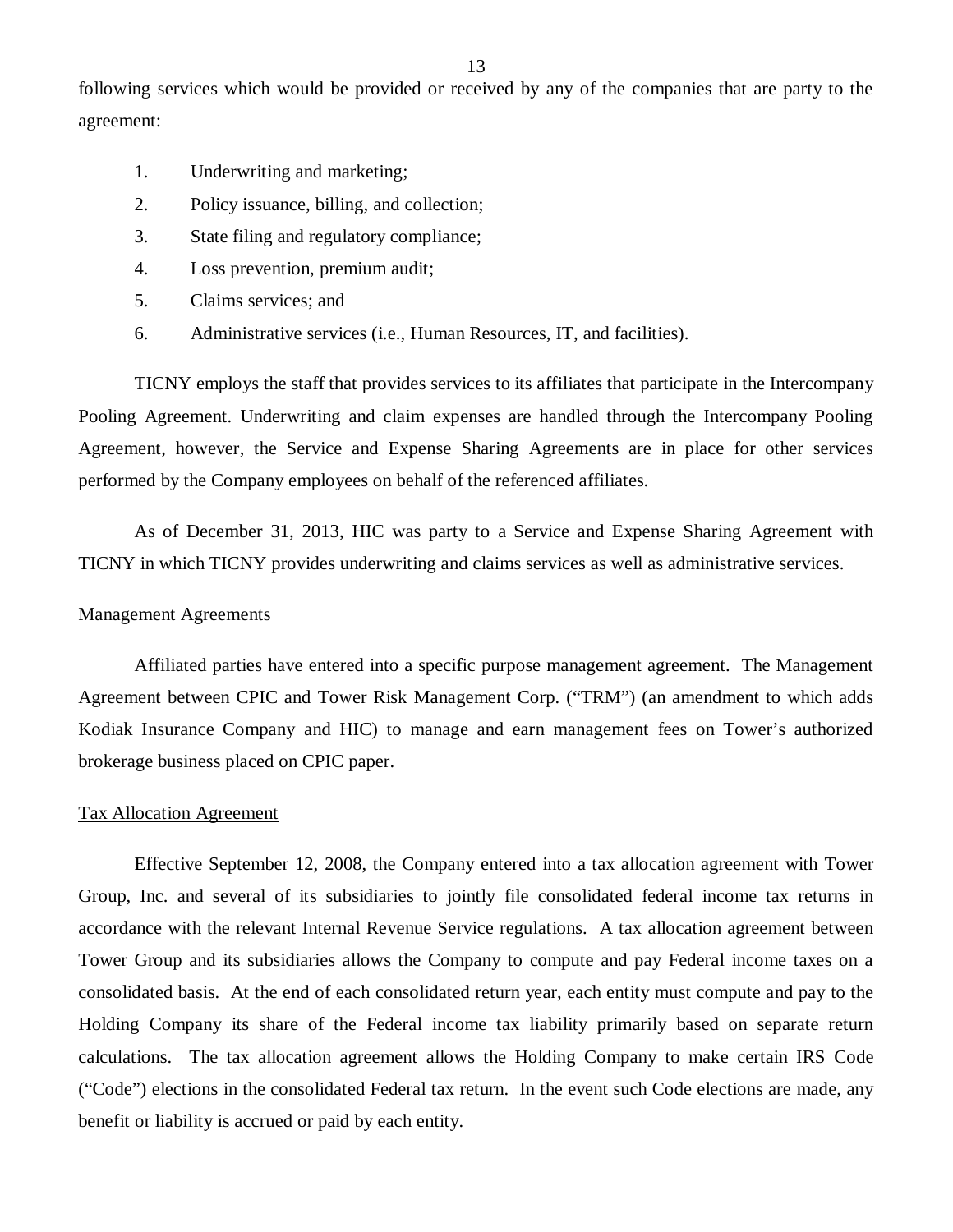following services which would be provided or received by any of the companies that are party to the agreement:

- 1. Underwriting and marketing;
- 2. Policy issuance, billing, and collection;
- 3. State filing and regulatory compliance;
- 4. Loss prevention, premium audit;
- 5. Claims services; and
- 6. Administrative services (i.e., Human Resources, IT, and facilities).

TICNY employs the staff that provides services to its affiliates that participate in the Intercompany Pooling Agreement. Underwriting and claim expenses are handled through the Intercompany Pooling Agreement, however, the Service and Expense Sharing Agreements are in place for other services performed by the Company employees on behalf of the referenced affiliates.

As of December 31, 2013, HIC was party to a Service and Expense Sharing Agreement with TICNY in which TICNY provides underwriting and claims services as well as administrative services.

### Management Agreements

Affiliated parties have entered into a specific purpose management agreement. The Management Agreement between CPIC and Tower Risk Management Corp. ("TRM") (an amendment to which adds Kodiak Insurance Company and HIC) to manage and earn management fees on Tower's authorized brokerage business placed on CPIC paper.

### Tax Allocation Agreement

Effective September 12, 2008, the Company entered into a tax allocation agreement with Tower Group, Inc. and several of its subsidiaries to jointly file consolidated federal income tax returns in accordance with the relevant Internal Revenue Service regulations. A tax allocation agreement between Tower Group and its subsidiaries allows the Company to compute and pay Federal income taxes on a consolidated basis. At the end of each consolidated return year, each entity must compute and pay to the Holding Company its share of the Federal income tax liability primarily based on separate return calculations. The tax allocation agreement allows the Holding Company to make certain IRS Code ("Code") elections in the consolidated Federal tax return. In the event such Code elections are made, any benefit or liability is accrued or paid by each entity.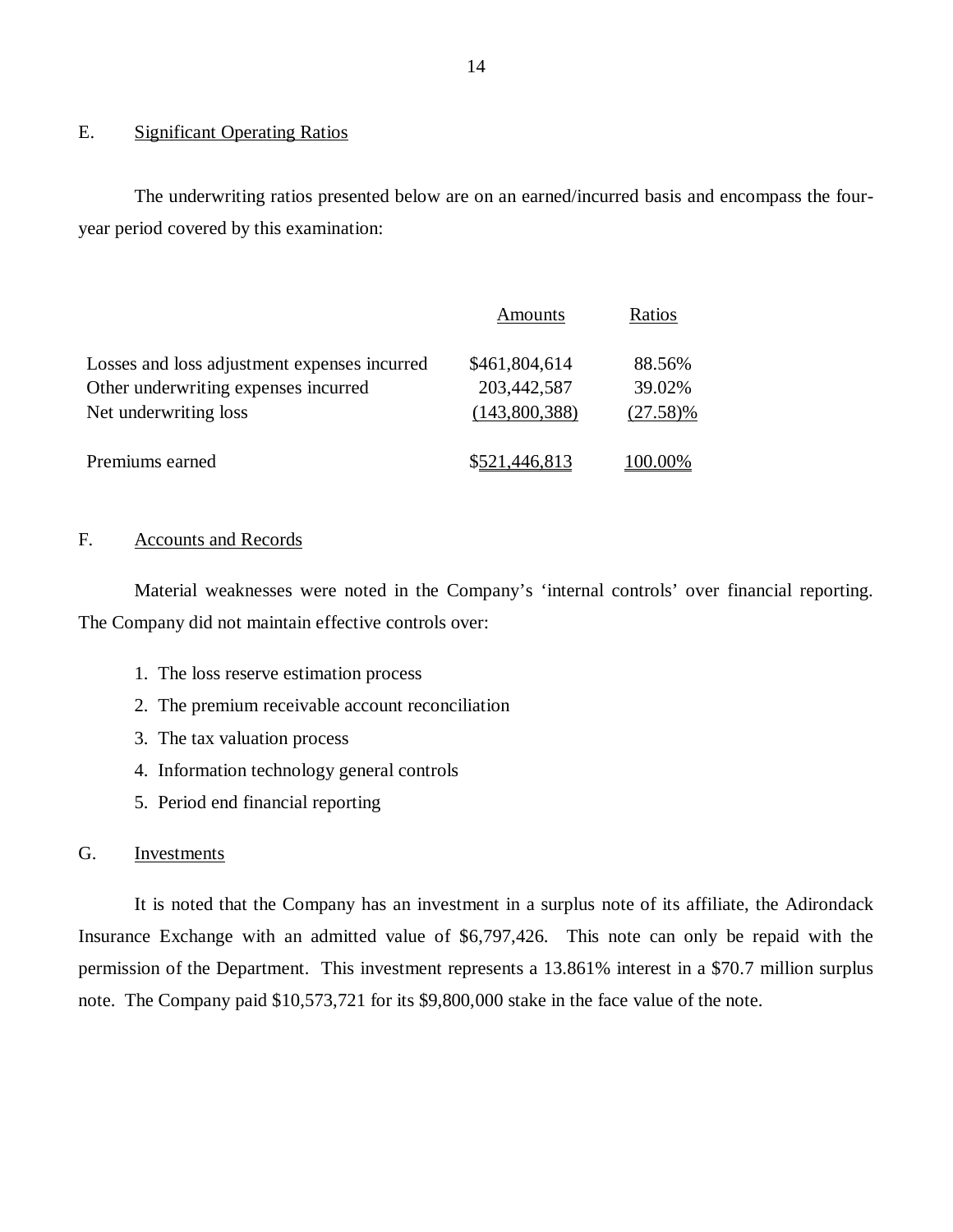### E. Significant Operating Ratios

The underwriting ratios presented below are on an earned/incurred basis and encompass the fouryear period covered by this examination:

|                                              | Amounts       | Ratios      |
|----------------------------------------------|---------------|-------------|
| Losses and loss adjustment expenses incurred | \$461,804,614 | 88.56%      |
| Other underwriting expenses incurred         | 203,442,587   | 39.02%      |
| Net underwriting loss                        | (143,800,388) | $(27.58)\%$ |
| Premiums earned                              | \$521,446,813 | 100.00%     |

### F. Accounts and Records

Material weaknesses were noted in the Company's 'internal controls' over financial reporting. The Company did not maintain effective controls over:

- 1. The loss reserve estimation process
- 2. The premium receivable account reconciliation
- 3. The tax valuation process
- 4. Information technology general controls
- 5. Period end financial reporting

### G. Investments

It is noted that the Company has an investment in a surplus note of its affiliate, the Adirondack Insurance Exchange with an admitted value of \$6,797,426. This note can only be repaid with the permission of the Department. This investment represents a 13.861% interest in a \$70.7 million surplus note. The Company paid \$10,573,721 for its \$9,800,000 stake in the face value of the note.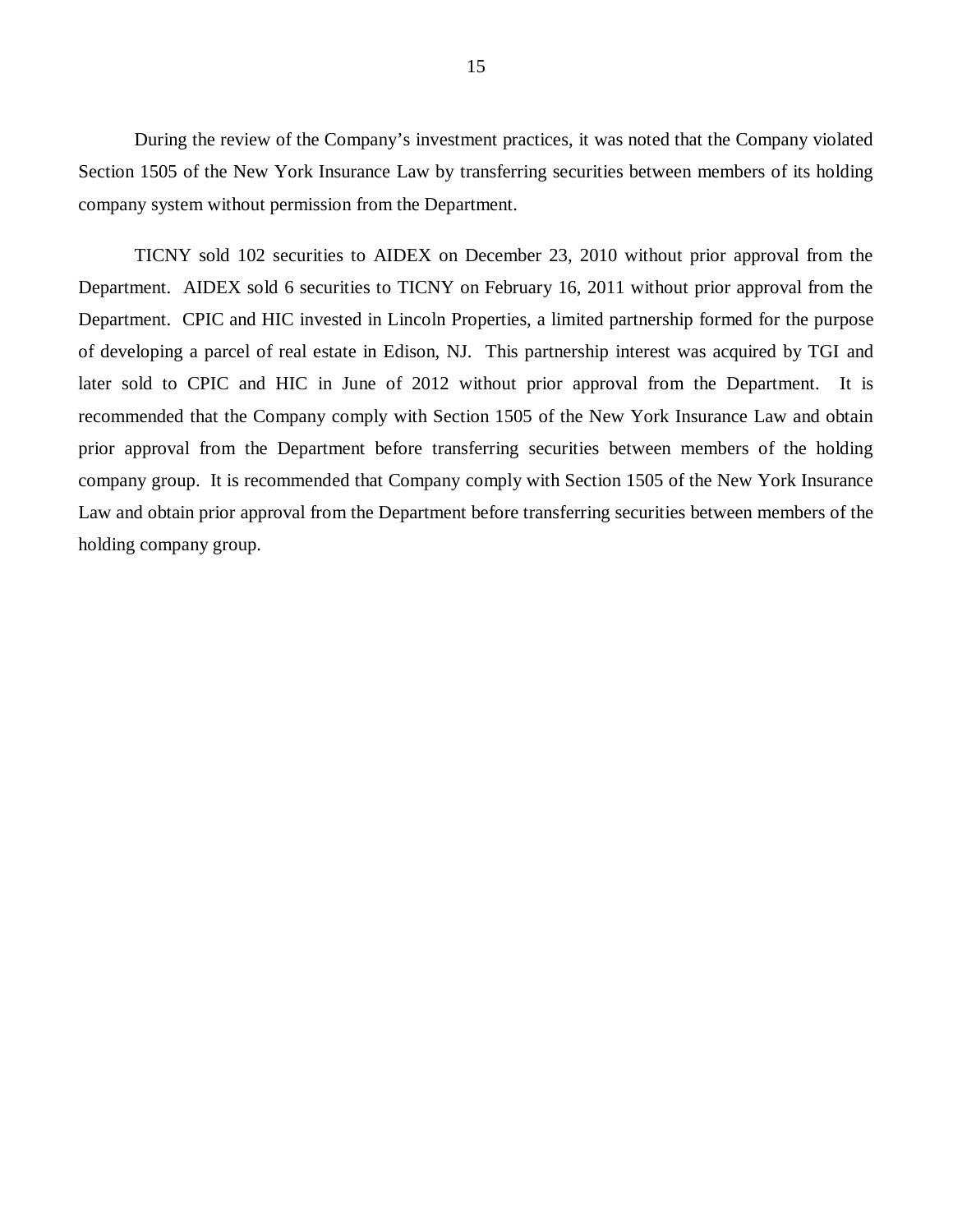During the review of the Company's investment practices, it was noted that the Company violated Section 1505 of the New York Insurance Law by transferring securities between members of its holding company system without permission from the Department.

TICNY sold 102 securities to AIDEX on December 23, 2010 without prior approval from the Department. AIDEX sold 6 securities to TICNY on February 16, 2011 without prior approval from the Department. CPIC and HIC invested in Lincoln Properties, a limited partnership formed for the purpose of developing a parcel of real estate in Edison, NJ. This partnership interest was acquired by TGI and later sold to CPIC and HIC in June of 2012 without prior approval from the Department. It is recommended that the Company comply with Section 1505 of the New York Insurance Law and obtain prior approval from the Department before transferring securities between members of the holding company group. It is recommended that Company comply with Section 1505 of the New York Insurance Law and obtain prior approval from the Department before transferring securities between members of the holding company group.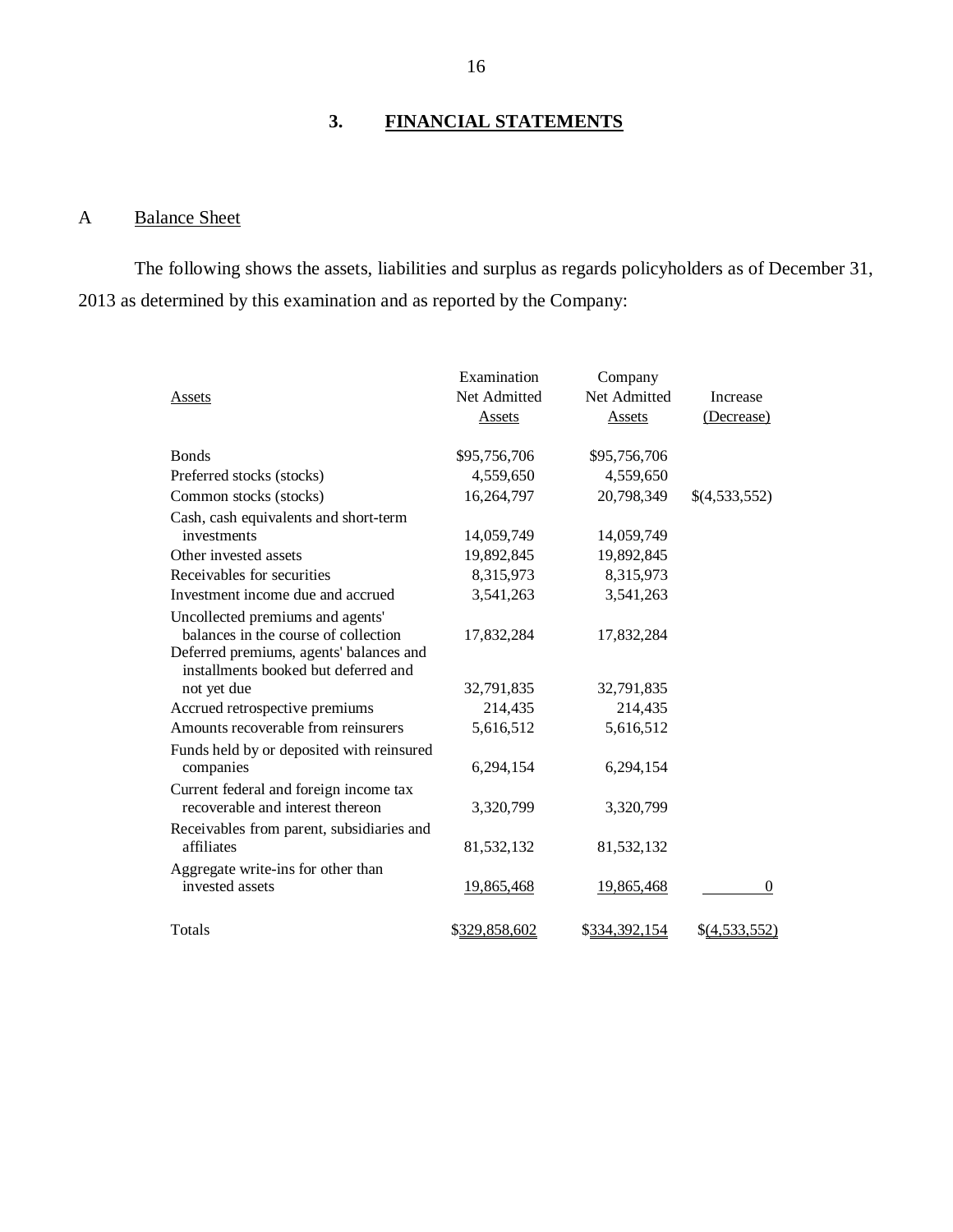# **3. FINANCIAL STATEMENTS**

# A Balance Sheet

The following shows the assets, liabilities and surplus as regards policyholders as of December 31, 2013 as determined by this examination and as reported by the Company:

|                                                                                 | Examination   | Company       |                 |
|---------------------------------------------------------------------------------|---------------|---------------|-----------------|
| Assets                                                                          | Net Admitted  | Net Admitted  | Increase        |
|                                                                                 | Assets        | Assets        | (Decrease)      |
| <b>B</b> onds                                                                   | \$95,756,706  | \$95,756,706  |                 |
| Preferred stocks (stocks)                                                       | 4,559,650     | 4,559,650     |                 |
| Common stocks (stocks)                                                          | 16,264,797    | 20,798,349    | \$(4,533,552)   |
| Cash, cash equivalents and short-term                                           |               |               |                 |
| investments                                                                     | 14,059,749    | 14,059,749    |                 |
| Other invested assets                                                           | 19,892,845    | 19,892,845    |                 |
| Receivables for securities                                                      | 8,315,973     | 8,315,973     |                 |
| Investment income due and accrued                                               | 3,541,263     | 3,541,263     |                 |
| Uncollected premiums and agents'                                                |               |               |                 |
| balances in the course of collection                                            | 17,832,284    | 17,832,284    |                 |
| Deferred premiums, agents' balances and<br>installments booked but deferred and |               |               |                 |
| not yet due                                                                     | 32,791,835    | 32,791,835    |                 |
| Accrued retrospective premiums                                                  | 214,435       | 214,435       |                 |
| Amounts recoverable from reinsurers                                             | 5,616,512     | 5,616,512     |                 |
| Funds held by or deposited with reinsured                                       |               |               |                 |
| companies                                                                       | 6,294,154     | 6,294,154     |                 |
| Current federal and foreign income tax<br>recoverable and interest thereon      | 3,320,799     | 3,320,799     |                 |
| Receivables from parent, subsidiaries and<br>affiliates                         | 81,532,132    | 81,532,132    |                 |
| Aggregate write-ins for other than<br>invested assets                           | 19,865,468    | 19,865,468    | $\mathbf{0}$    |
| Totals                                                                          | \$329,858,602 | \$334,392,154 | $$$ (4,533,552) |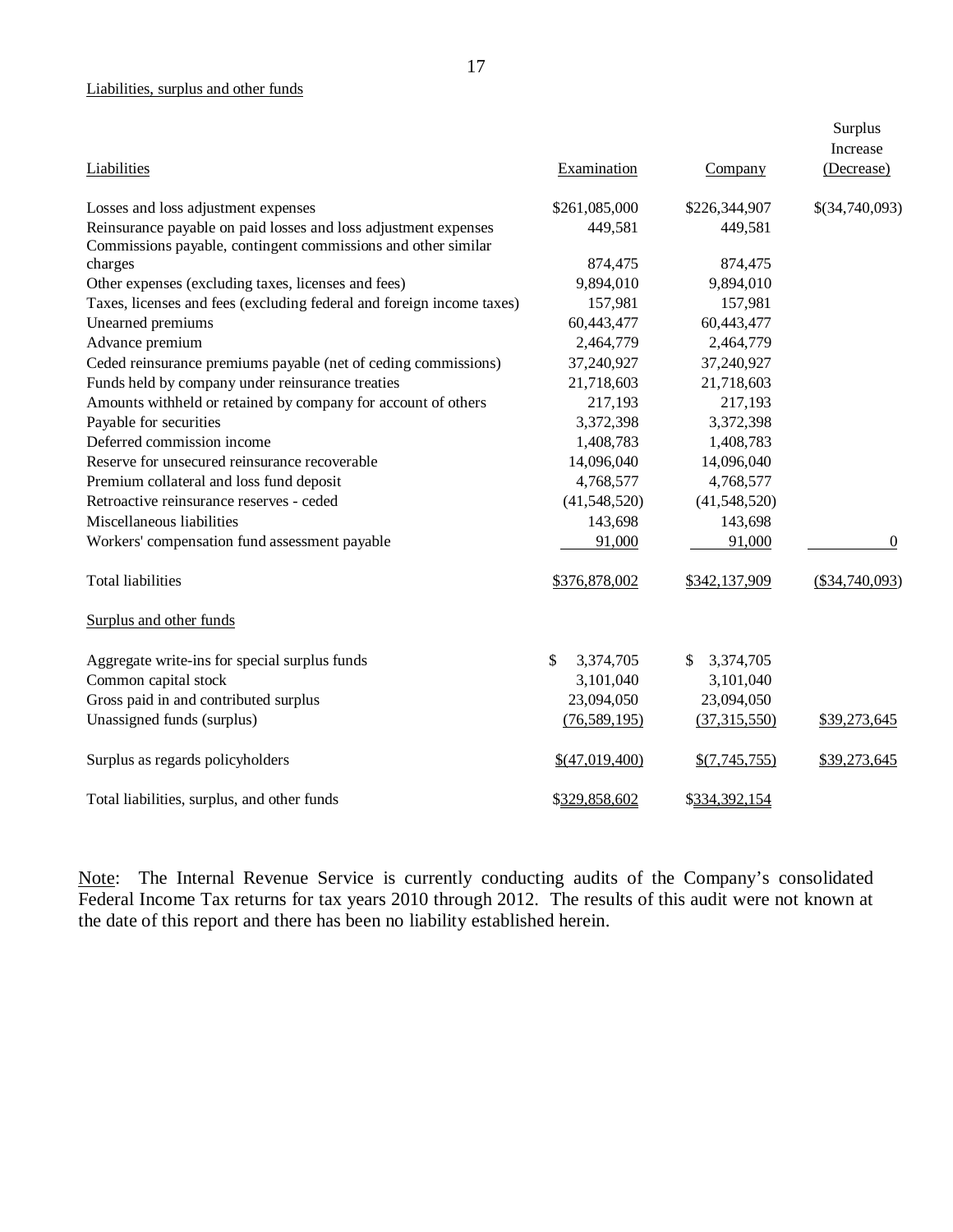### Liabilities, surplus and other funds

|                                                                          |                 |                  | Surplus<br>Increase |
|--------------------------------------------------------------------------|-----------------|------------------|---------------------|
| Liabilities                                                              | Examination     | Company          | (Decrease)          |
| Losses and loss adjustment expenses                                      | \$261,085,000   | \$226,344,907    | \$(34,740,093)      |
| Reinsurance payable on paid losses and loss adjustment expenses          | 449,581         | 449,581          |                     |
| Commissions payable, contingent commissions and other similar<br>charges | 874,475         | 874,475          |                     |
| Other expenses (excluding taxes, licenses and fees)                      | 9,894,010       | 9,894,010        |                     |
| Taxes, licenses and fees (excluding federal and foreign income taxes)    | 157,981         | 157,981          |                     |
| Unearned premiums                                                        | 60,443,477      | 60,443,477       |                     |
| Advance premium                                                          | 2,464,779       | 2,464,779        |                     |
| Ceded reinsurance premiums payable (net of ceding commissions)           | 37,240,927      | 37,240,927       |                     |
| Funds held by company under reinsurance treaties                         | 21,718,603      | 21,718,603       |                     |
| Amounts withheld or retained by company for account of others            | 217,193         | 217,193          |                     |
| Payable for securities                                                   | 3,372,398       | 3,372,398        |                     |
| Deferred commission income                                               | 1,408,783       | 1,408,783        |                     |
| Reserve for unsecured reinsurance recoverable                            | 14,096,040      | 14,096,040       |                     |
| Premium collateral and loss fund deposit                                 | 4,768,577       | 4,768,577        |                     |
| Retroactive reinsurance reserves - ceded                                 | (41,548,520)    | (41,548,520)     |                     |
| Miscellaneous liabilities                                                | 143,698         | 143,698          |                     |
| Workers' compensation fund assessment payable                            | 91,000          | 91,000           | $\theta$            |
| <b>Total liabilities</b>                                                 | \$376,878,002   | \$342,137,909    | $(\$34,740,093)$    |
| Surplus and other funds                                                  |                 |                  |                     |
| Aggregate write-ins for special surplus funds                            | \$<br>3,374,705 | 3,374,705<br>\$. |                     |
| Common capital stock                                                     | 3,101,040       | 3,101,040        |                     |
| Gross paid in and contributed surplus                                    | 23,094,050      | 23,094,050       |                     |
| Unassigned funds (surplus)                                               | (76, 589, 195)  | (37, 315, 550)   | \$39,273,645        |
| Surplus as regards policyholders                                         | \$(47,019,400)  | \$(7,745,755)    | \$39,273,645        |
| Total liabilities, surplus, and other funds                              | \$329,858,602   | \$334,392,154    |                     |

Note: The Internal Revenue Service is currently conducting audits of the Company's consolidated Federal Income Tax returns for tax years 2010 through 2012. The results of this audit were not known at the date of this report and there has been no liability established herein.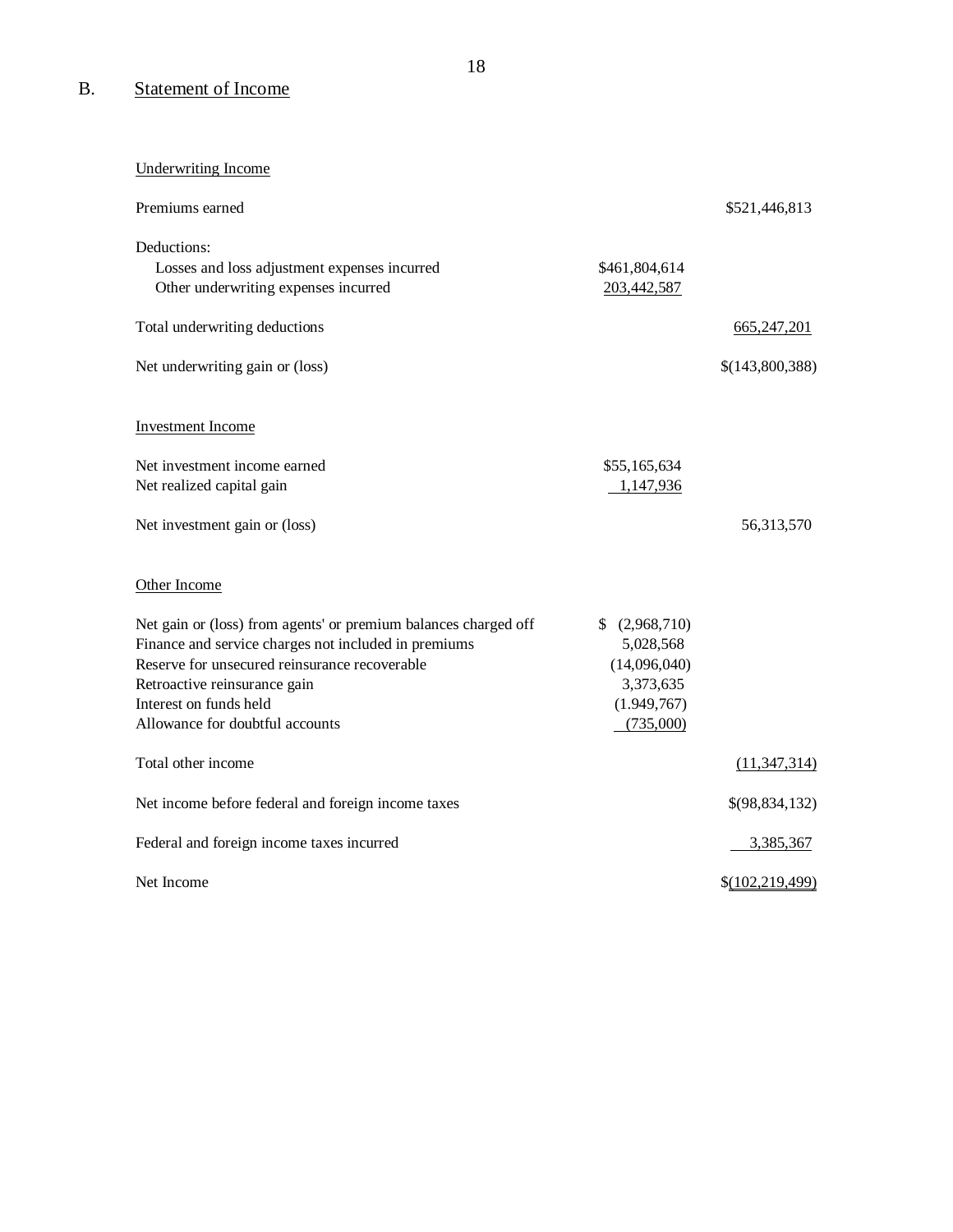# B. Statement of Income

# Underwriting Income

| Premiums earned                                                 |                | \$521,446,813   |
|-----------------------------------------------------------------|----------------|-----------------|
| Deductions:<br>Losses and loss adjustment expenses incurred     | \$461,804,614  |                 |
| Other underwriting expenses incurred                            | 203,442,587    |                 |
| Total underwriting deductions                                   |                | 665,247,201     |
| Net underwriting gain or (loss)                                 |                | \$(143,800,388) |
| <b>Investment Income</b>                                        |                |                 |
| Net investment income earned                                    | \$55,165,634   |                 |
| Net realized capital gain                                       | 1,147,936      |                 |
| Net investment gain or (loss)                                   |                | 56,313,570      |
| Other Income                                                    |                |                 |
| Net gain or (loss) from agents' or premium balances charged off | \$ (2,968,710) |                 |
| Finance and service charges not included in premiums            | 5,028,568      |                 |
| Reserve for unsecured reinsurance recoverable                   | (14,096,040)   |                 |
| Retroactive reinsurance gain                                    | 3,373,635      |                 |
| Interest on funds held                                          | (1.949,767)    |                 |
| Allowance for doubtful accounts                                 | (735,000)      |                 |
| Total other income                                              |                | (11, 347, 314)  |
| Net income before federal and foreign income taxes              |                | \$(98,834,132)  |
| Federal and foreign income taxes incurred                       |                | 3,385,367       |
| Net Income                                                      |                | \$(102,219,499) |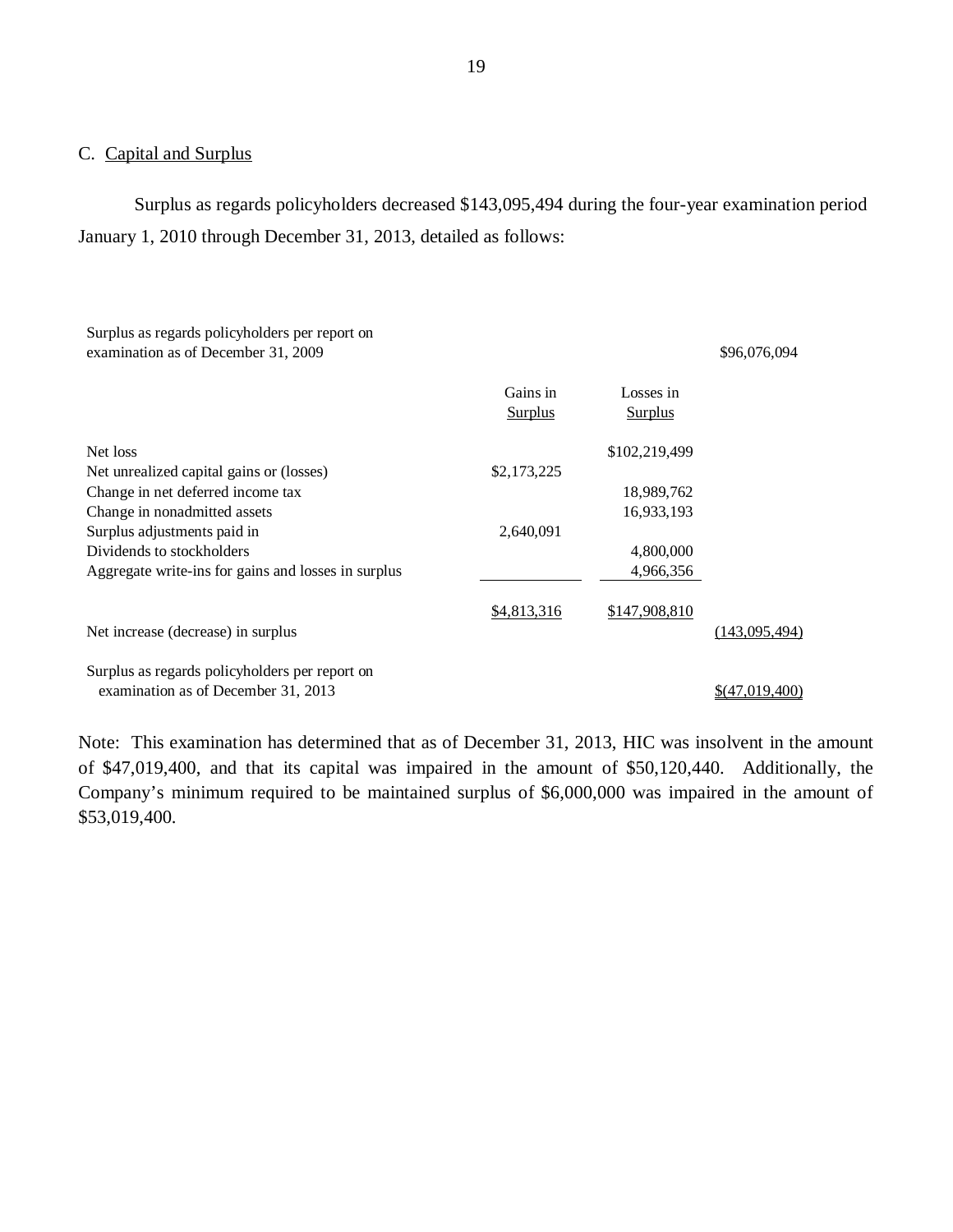### C. Capital and Surplus

Surplus as regards policyholders decreased \$143,095,494 during the four-year examination period January 1, 2010 through December 31, 2013, detailed as follows:

### Surplus as regards policyholders per report on examination as of December 31, 2009 \$96,076,094

|                                                     | Gains in<br><b>Surplus</b> | Losses in<br><b>Surplus</b> |                |
|-----------------------------------------------------|----------------------------|-----------------------------|----------------|
| Net loss                                            |                            | \$102,219,499               |                |
| Net unrealized capital gains or (losses)            | \$2,173,225                |                             |                |
| Change in net deferred income tax                   |                            | 18,989,762                  |                |
| Change in nonadmitted assets                        |                            | 16,933,193                  |                |
| Surplus adjustments paid in                         | 2,640,091                  |                             |                |
| Dividends to stockholders                           |                            | 4,800,000                   |                |
| Aggregate write-ins for gains and losses in surplus |                            | 4.966.356                   |                |
|                                                     | \$4,813,316                | \$147,908,810               |                |
| Net increase (decrease) in surplus                  |                            |                             | (143,095,494)  |
| Surplus as regards policyholders per report on      |                            |                             |                |
| examination as of December 31, 2013                 |                            |                             | \$(47,019,400) |

Note: This examination has determined that as of December 31, 2013, HIC was insolvent in the amount of \$47,019,400, and that its capital was impaired in the amount of \$50,120,440. Additionally, the Company's minimum required to be maintained surplus of \$6,000,000 was impaired in the amount of \$53,019,400.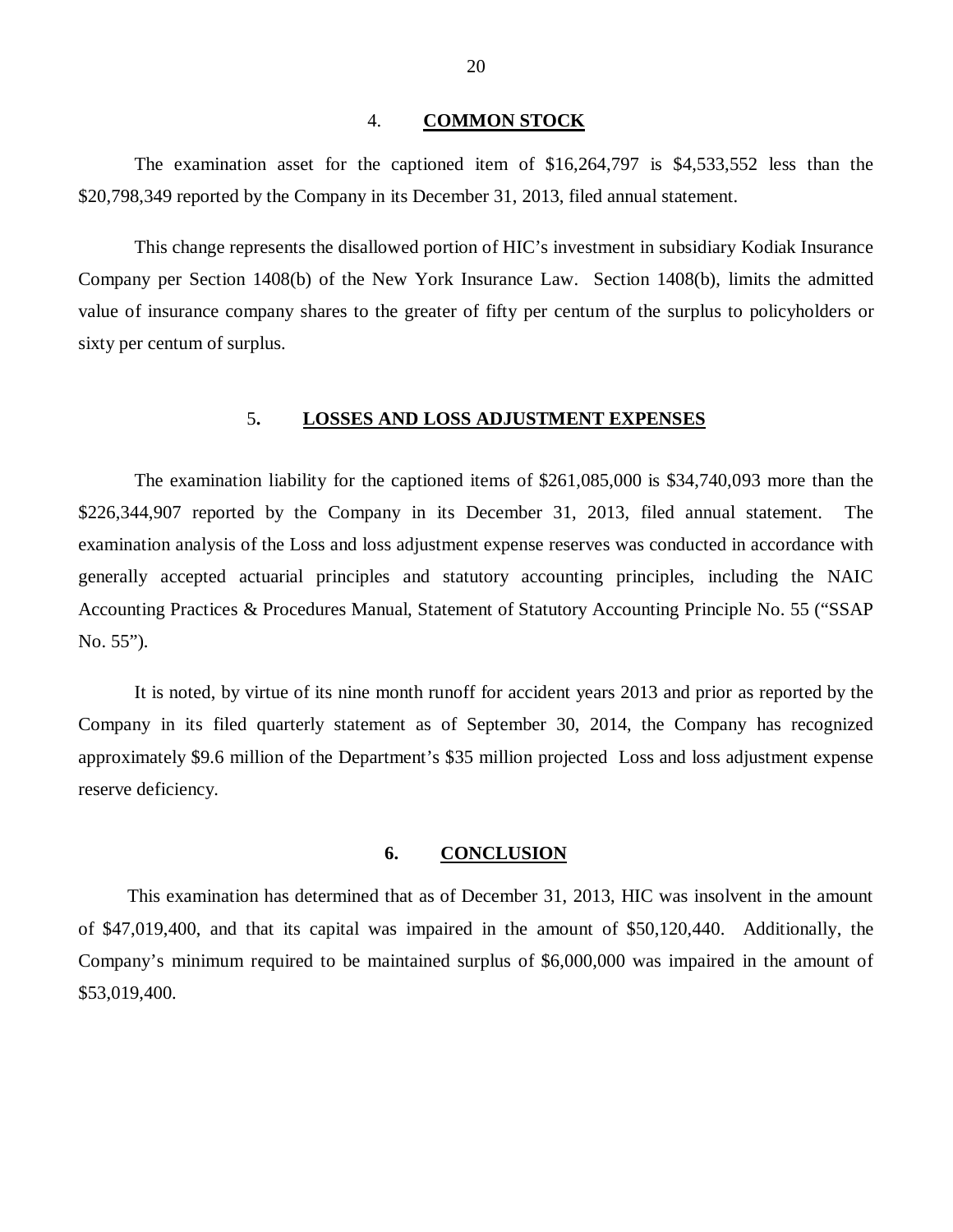#### 4. **COMMON STOCK**

<span id="page-21-0"></span>The examination asset for the captioned item of \$16,264,797 is \$4,533,552 less than the \$20,798,349 reported by the Company in its December 31, 2013, filed annual statement.

This change represents the disallowed portion of HIC's investment in subsidiary Kodiak Insurance Company per Section 1408(b) of the New York Insurance Law. Section 1408(b), limits the admitted value of insurance company shares to the greater of fifty per centum of the surplus to policyholders or sixty per centum of surplus.

### 5**. LOSSES AND LOSS ADJUSTMENT EXPENSES**

The examination liability for the captioned items of \$261,085,000 is \$34,740,093 more than the \$226,344,907 reported by the Company in its December 31, 2013, filed annual statement. The examination analysis of the Loss and loss adjustment expense reserves was conducted in accordance with generally accepted actuarial principles and statutory accounting principles, including the NAIC Accounting Practices & Procedures Manual, Statement of Statutory Accounting Principle No. 55 ("SSAP No. 55").

It is noted, by virtue of its nine month runoff for accident years 2013 and prior as reported by the Company in its filed quarterly statement as of September 30, 2014, the Company has recognized approximately \$9.6 million of the Department's \$35 million projected Loss and loss adjustment expense reserve deficiency.

### **6. CONCLUSION**

This examination has determined that as of December 31, 2013, HIC was insolvent in the amount of \$47,019,400, and that its capital was impaired in the amount of \$50,120,440. Additionally, the Company's minimum required to be maintained surplus of \$6,000,000 was impaired in the amount of \$53,019,400.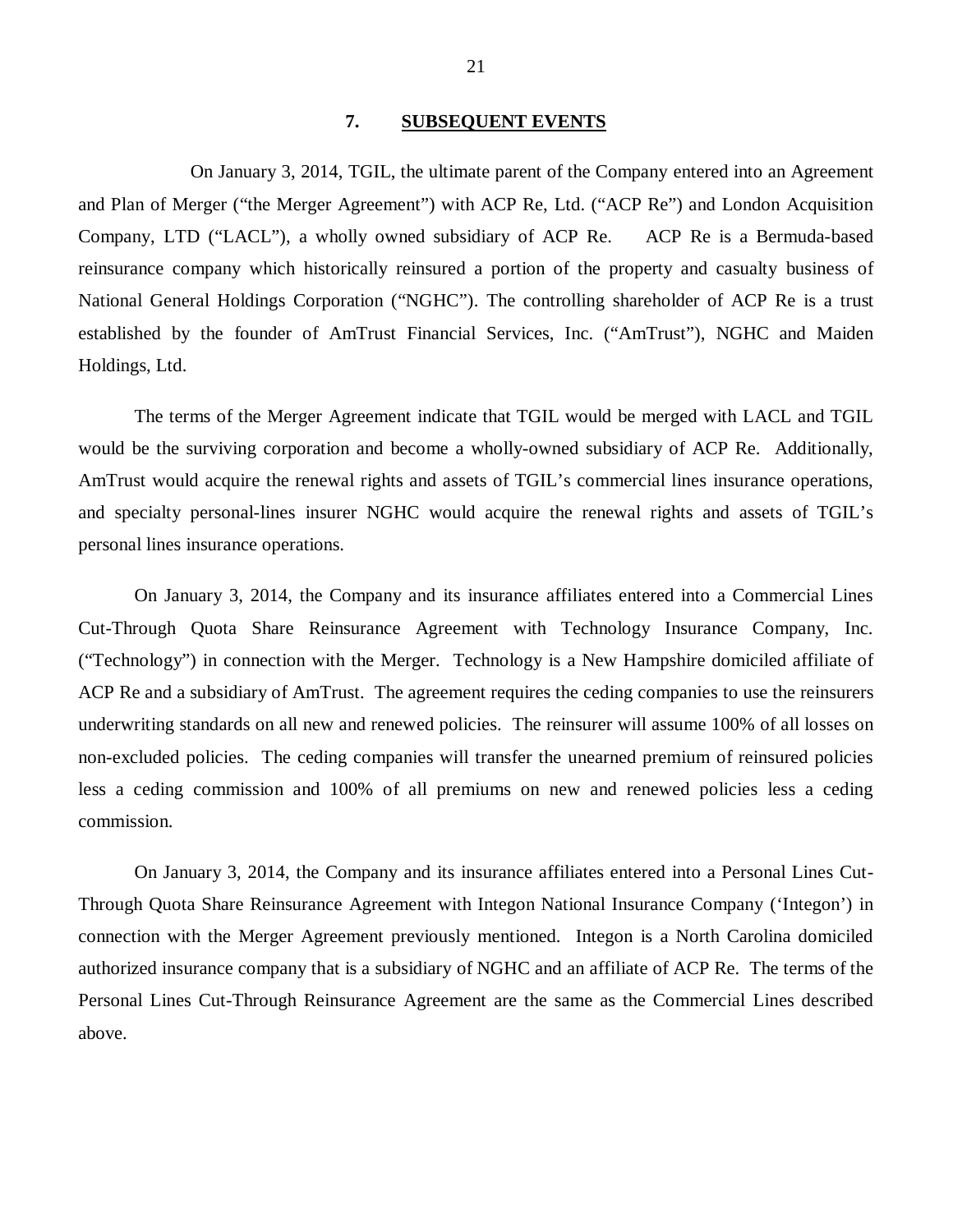### **7. SUBSEQUENT EVENTS**

<span id="page-22-0"></span>On January 3, 2014, TGIL, the ultimate parent of the Company entered into an Agreement and Plan of Merger ("the Merger Agreement") with ACP Re, Ltd. ("ACP Re") and London Acquisition Company, LTD ("LACL"), a wholly owned subsidiary of ACP Re. ACP Re is a Bermuda-based reinsurance company which historically reinsured a portion of the property and casualty business of National General Holdings Corporation ("NGHC"). The controlling shareholder of ACP Re is a trust established by the founder of AmTrust Financial Services, Inc. ("AmTrust"), NGHC and Maiden Holdings, Ltd.

The terms of the Merger Agreement indicate that TGIL would be merged with LACL and TGIL would be the surviving corporation and become a wholly-owned subsidiary of ACP Re. Additionally, AmTrust would acquire the renewal rights and assets of TGIL's commercial lines insurance operations, and specialty personal-lines insurer NGHC would acquire the renewal rights and assets of TGIL's personal lines insurance operations.

On January 3, 2014, the Company and its insurance affiliates entered into a Commercial Lines Cut-Through Quota Share Reinsurance Agreement with Technology Insurance Company, Inc. ("Technology") in connection with the Merger. Technology is a New Hampshire domiciled affiliate of ACP Re and a subsidiary of AmTrust. The agreement requires the ceding companies to use the reinsurers underwriting standards on all new and renewed policies. The reinsurer will assume 100% of all losses on non-excluded policies. The ceding companies will transfer the unearned premium of reinsured policies less a ceding commission and 100% of all premiums on new and renewed policies less a ceding commission.

On January 3, 2014, the Company and its insurance affiliates entered into a Personal Lines Cut-Through Quota Share Reinsurance Agreement with Integon National Insurance Company ('Integon') in connection with the Merger Agreement previously mentioned. Integon is a North Carolina domiciled authorized insurance company that is a subsidiary of NGHC and an affiliate of ACP Re. The terms of the Personal Lines Cut-Through Reinsurance Agreement are the same as the Commercial Lines described above.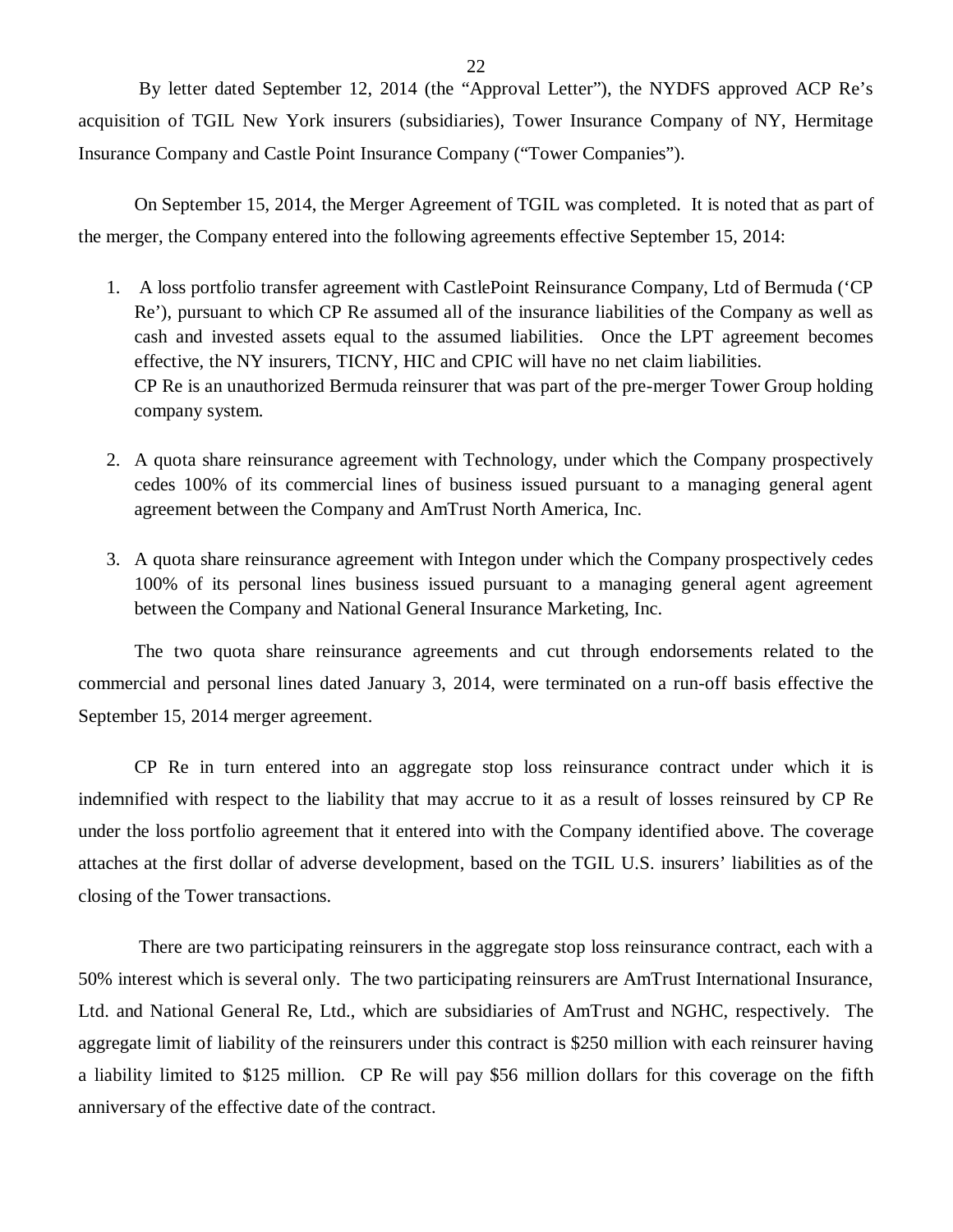22

By letter dated September 12, 2014 (the "Approval Letter"), the NYDFS approved ACP Re's acquisition of TGIL New York insurers (subsidiaries), Tower Insurance Company of NY, Hermitage Insurance Company and Castle Point Insurance Company ("Tower Companies").

On September 15, 2014, the Merger Agreement of TGIL was completed. It is noted that as part of the merger, the Company entered into the following agreements effective September 15, 2014:

- 1. A loss portfolio transfer agreement with CastlePoint Reinsurance Company, Ltd of Bermuda ('CP Re'), pursuant to which CP Re assumed all of the insurance liabilities of the Company as well as cash and invested assets equal to the assumed liabilities. Once the LPT agreement becomes effective, the NY insurers, TICNY, HIC and CPIC will have no net claim liabilities. CP Re is an unauthorized Bermuda reinsurer that was part of the pre-merger Tower Group holding company system.
- 2. A quota share reinsurance agreement with Technology, under which the Company prospectively cedes 100% of its commercial lines of business issued pursuant to a managing general agent agreement between the Company and AmTrust North America, Inc.
- 3. A quota share reinsurance agreement with Integon under which the Company prospectively cedes 100% of its personal lines business issued pursuant to a managing general agent agreement between the Company and National General Insurance Marketing, Inc.

The two quota share reinsurance agreements and cut through endorsements related to the commercial and personal lines dated January 3, 2014, were terminated on a run-off basis effective the September 15, 2014 merger agreement.

CP Re in turn entered into an aggregate stop loss reinsurance contract under which it is indemnified with respect to the liability that may accrue to it as a result of losses reinsured by CP Re under the loss portfolio agreement that it entered into with the Company identified above. The coverage attaches at the first dollar of adverse development, based on the TGIL U.S. insurers' liabilities as of the closing of the Tower transactions.

There are two participating reinsurers in the aggregate stop loss reinsurance contract, each with a 50% interest which is several only. The two participating reinsurers are AmTrust International Insurance, Ltd. and National General Re, Ltd., which are subsidiaries of AmTrust and NGHC, respectively. The aggregate limit of liability of the reinsurers under this contract is \$250 million with each reinsurer having a liability limited to \$125 million. CP Re will pay \$56 million dollars for this coverage on the fifth anniversary of the effective date of the contract.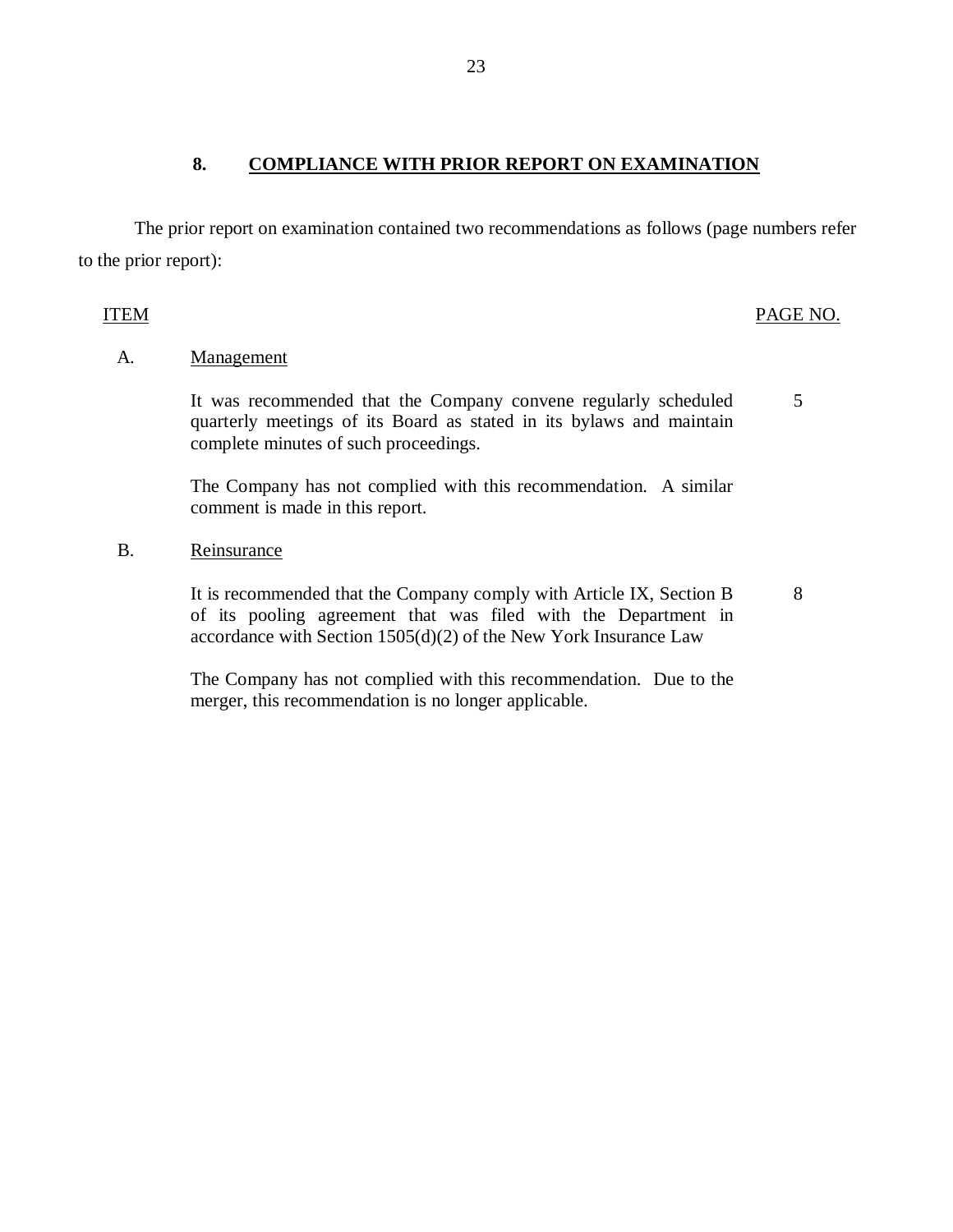### 8. COMPLIANCE WITH PRIOR REPORT ON EXAMINATION

The prior report on examination contained two recommendations as follows (page numbers refer to the prior report):

## ITEM PAGE NO.

8

### A. **Management**

It was recommended that the Company convene regularly scheduled quarterly meetings of its Board as stated in its bylaws and maintain complete minutes of such proceedings. 5

The Company has not complied with this recommendation. A similar comment is made in this report.

B. Reinsurance

It is recommended that the Company comply with Article IX, Section B of its pooling agreement that was filed with the Department in accordance with Section 1505(d)(2) of the New York Insurance Law

The Company has not complied with this recommendation. Due to the merger, this recommendation is no longer applicable.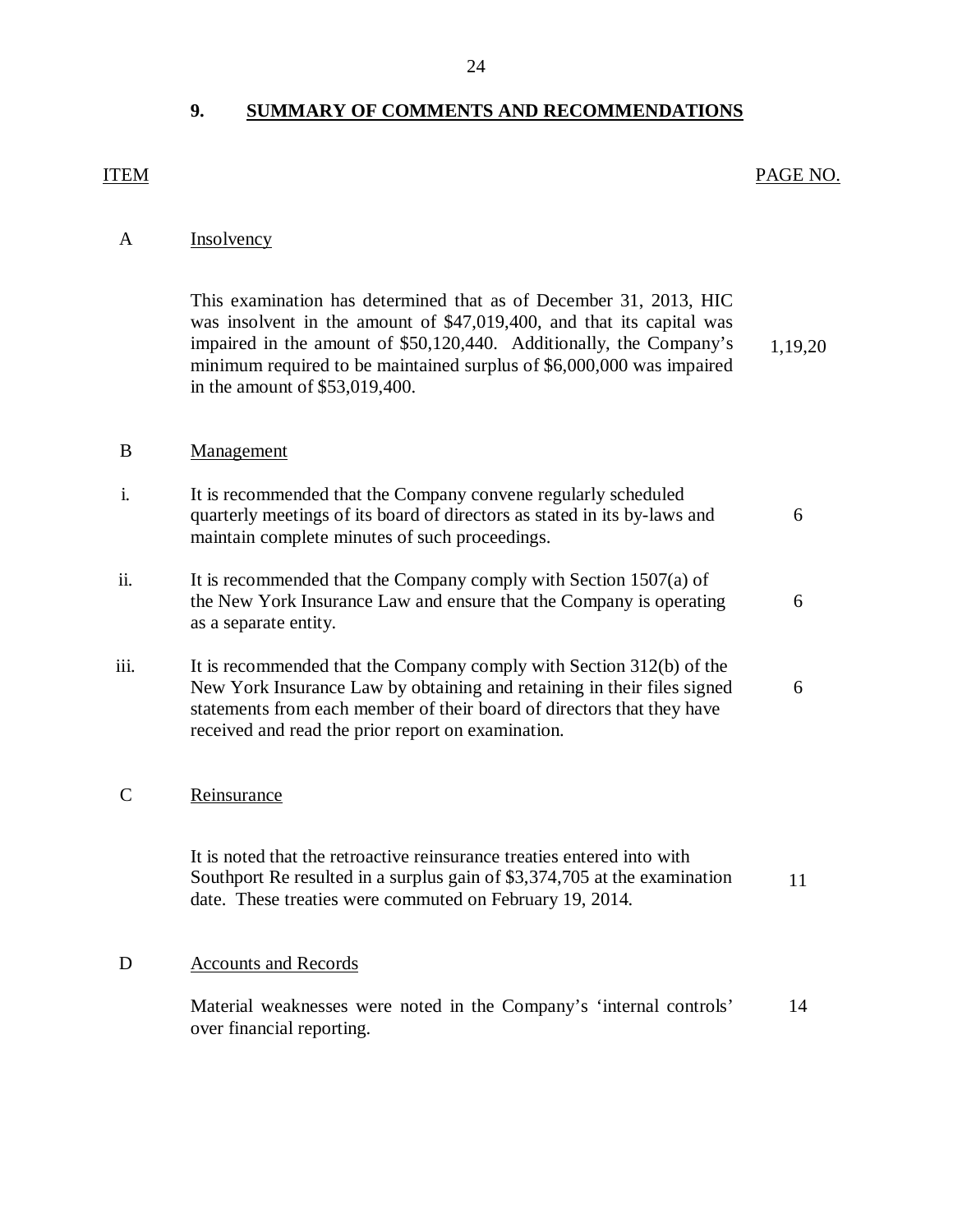# **9. SUMMARY OF COMMENTS AND RECOMMENDATIONS**

# <span id="page-25-0"></span>ITEM PAGE NO.

# A **Insolvency**

|                | This examination has determined that as of December 31, 2013, HIC<br>was insolvent in the amount of \$47,019,400, and that its capital was<br>impaired in the amount of \$50,120,440. Additionally, the Company's<br>minimum required to be maintained surplus of \$6,000,000 was impaired<br>in the amount of \$53,019,400. | 1,19,20 |
|----------------|------------------------------------------------------------------------------------------------------------------------------------------------------------------------------------------------------------------------------------------------------------------------------------------------------------------------------|---------|
| B              | Management                                                                                                                                                                                                                                                                                                                   |         |
| $\mathbf{i}$ . | It is recommended that the Company convene regularly scheduled<br>quarterly meetings of its board of directors as stated in its by-laws and<br>maintain complete minutes of such proceedings.                                                                                                                                | 6       |
| ii.            | It is recommended that the Company comply with Section $1507(a)$ of<br>the New York Insurance Law and ensure that the Company is operating<br>as a separate entity.                                                                                                                                                          | 6       |
| iii.           | It is recommended that the Company comply with Section 312(b) of the<br>New York Insurance Law by obtaining and retaining in their files signed<br>statements from each member of their board of directors that they have<br>received and read the prior report on examination.                                              | 6       |
| $\mathcal{C}$  | Reinsurance                                                                                                                                                                                                                                                                                                                  |         |
|                | It is noted that the retroactive reinsurance treaties entered into with<br>Southport Re resulted in a surplus gain of \$3,374,705 at the examination<br>date. These treaties were commuted on February 19, 2014.                                                                                                             | 11      |

# D **Accounts and Records**

Material weaknesses were noted in the Company's 'internal controls' 14 over financial reporting.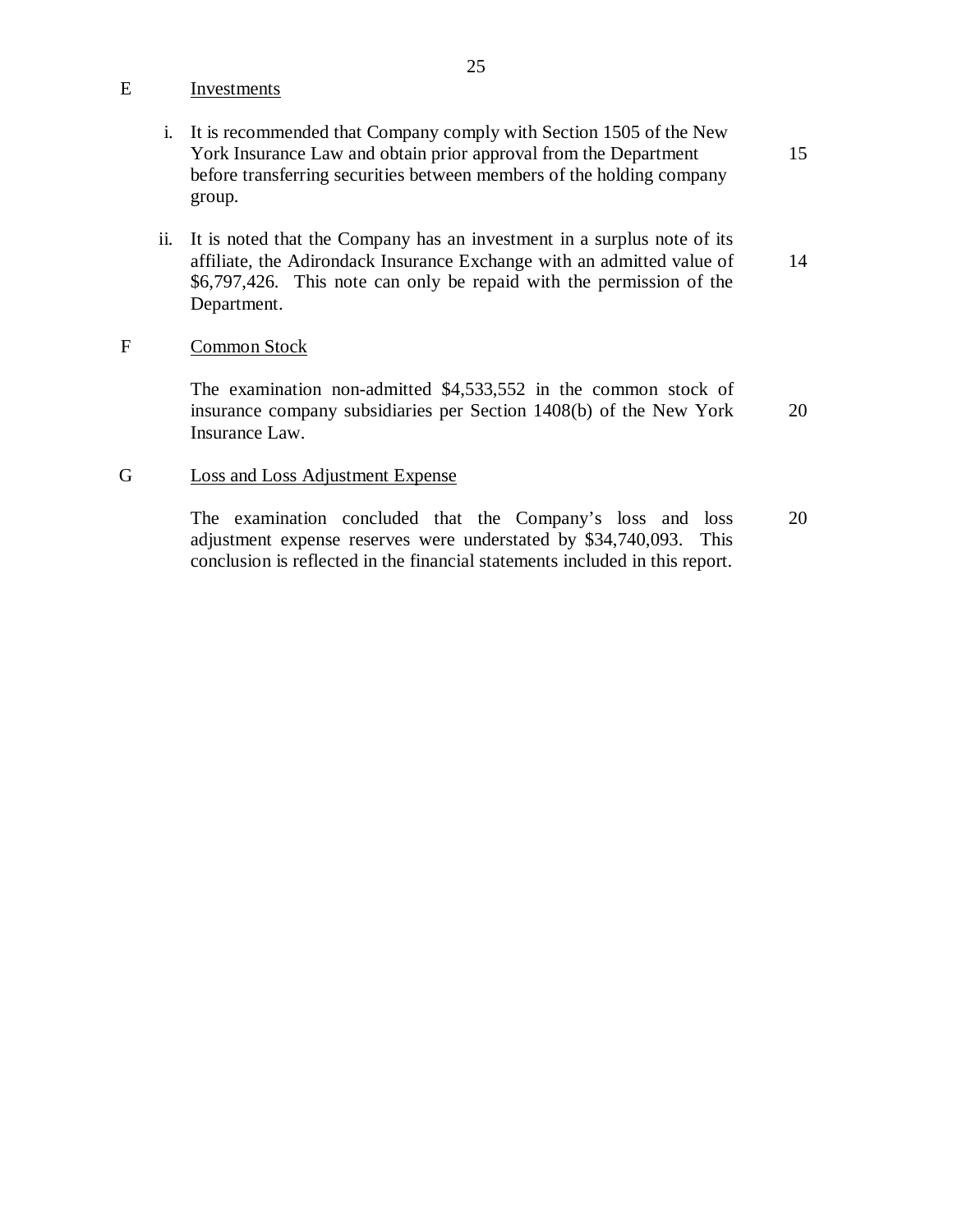E Investments

- i. It is recommended that Company comply with Section 1505 of the New York Insurance Law and obtain prior approval from the Department before transferring securities between members of the holding company group. 15
- ii. It is noted that the Company has an investment in a surplus note of its affiliate, the Adirondack Insurance Exchange with an admitted value of \$6,797,426. This note can only be repaid with the permission of the Department. 14

### F Common Stock

The examination non-admitted \$4,533,552 in the common stock of insurance company subsidiaries per Section 1408(b) of the New York Insurance Law. 20

### G Loss and Loss Adjustment Expense

The examination concluded that the Company's loss and loss adjustment expense reserves were understated by \$34,740,093. This conclusion is reflected in the financial statements included in this report. 20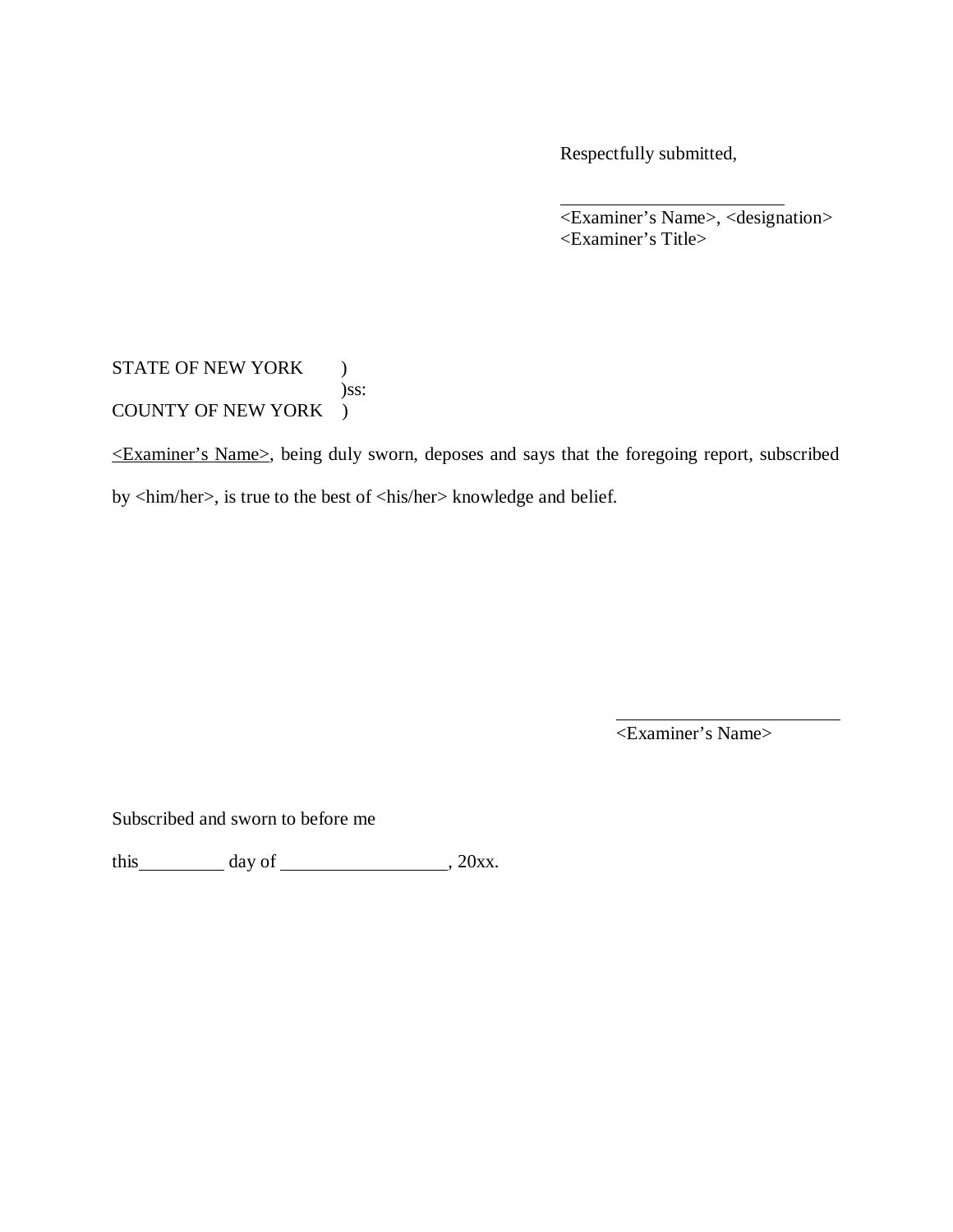Respectfully submitted,

<Examiner's Name>, <designation> <Examiner's Title>

STATE OF NEW YORK ) )ss: COUNTY OF NEW YORK )

<Examiner's Name>, being duly sworn, deposes and says that the foregoing report, subscribed by <him/her>, is true to the best of <his/her> knowledge and belief.

<Examiner's Name>

Subscribed and sworn to before me

this  $\_\_\_\_$  day of  $\_\_\_\_\_\_$ , 20xx.